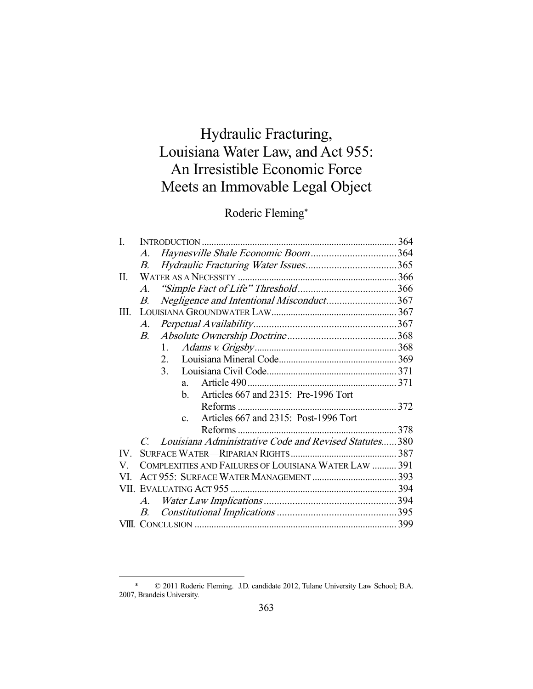# Hydraulic Fracturing, Louisiana Water Law, and Act 955: An Irresistible Economic Force Meets an Immovable Legal Object

## Roderic Fleming\*

| I.   |                       |                                                          |  |
|------|-----------------------|----------------------------------------------------------|--|
|      | $\mathcal{A}.$        |                                                          |  |
|      | В.                    |                                                          |  |
| II.  |                       |                                                          |  |
|      | $\mathcal{A}_{\cdot}$ |                                                          |  |
|      | В.                    | Negligence and Intentional Misconduct367                 |  |
| III. |                       |                                                          |  |
|      | $\mathcal{A}_{\cdot}$ |                                                          |  |
|      | $B_{\cdot}$           |                                                          |  |
|      |                       | 1.                                                       |  |
|      |                       | 2 <sub>1</sub>                                           |  |
|      |                       | 3 <sub>1</sub>                                           |  |
|      |                       | $a_{-}$                                                  |  |
|      |                       | Articles 667 and 2315: Pre-1996 Tort<br>$h_{-}$          |  |
|      |                       |                                                          |  |
|      |                       | Articles 667 and 2315: Post-1996 Tort<br>$c_{-}$         |  |
|      |                       |                                                          |  |
|      |                       | C. Louisiana Administrative Code and Revised Statutes380 |  |
| IV.  |                       |                                                          |  |
| V.   |                       | COMPLEXITIES AND FAILURES OF LOUISIANA WATER LAW  391    |  |
| VI.  |                       |                                                          |  |
|      |                       |                                                          |  |
|      | $A_{\cdot}$           |                                                          |  |
|      | B.                    |                                                          |  |
|      |                       |                                                          |  |

 <sup>\* © 2011</sup> Roderic Fleming. J.D. candidate 2012, Tulane University Law School; B.A. 2007, Brandeis University.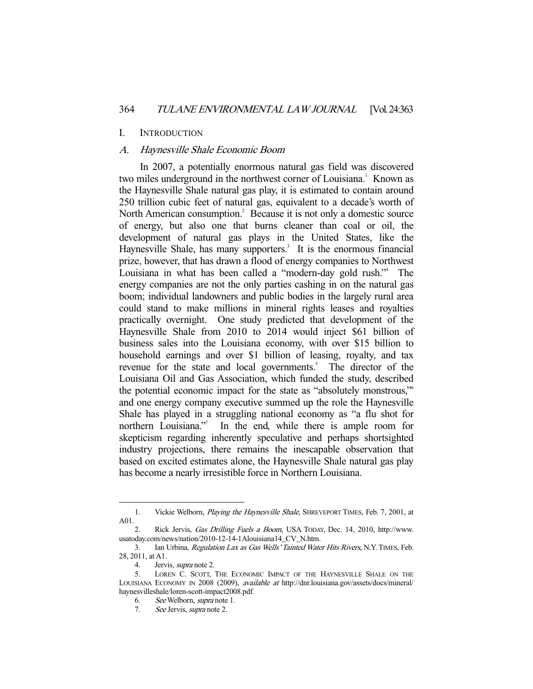#### I. INTRODUCTION

## A. Haynesville Shale Economic Boom

 In 2007, a potentially enormous natural gas field was discovered two miles underground in the northwest corner of Louisiana.<sup>1</sup> Known as the Haynesville Shale natural gas play, it is estimated to contain around 250 trillion cubic feet of natural gas, equivalent to a decade's worth of North American consumption.<sup>2</sup> Because it is not only a domestic source of energy, but also one that burns cleaner than coal or oil, the development of natural gas plays in the United States, like the Haynesville Shale, has many supporters.<sup>3</sup> It is the enormous financial prize, however, that has drawn a flood of energy companies to Northwest Louisiana in what has been called a "modern-day gold rush."4 The energy companies are not the only parties cashing in on the natural gas boom; individual landowners and public bodies in the largely rural area could stand to make millions in mineral rights leases and royalties practically overnight. One study predicted that development of the Haynesville Shale from 2010 to 2014 would inject \$61 billion of business sales into the Louisiana economy, with over \$15 billion to household earnings and over \$1 billion of leasing, royalty, and tax revenue for the state and local governments.<sup>5</sup> The director of the Louisiana Oil and Gas Association, which funded the study, described the potential economic impact for the state as "absolutely monstrous,"6 and one energy company executive summed up the role the Haynesville Shale has played in a struggling national economy as "a flu shot for northern Louisiana."<sup>7</sup> In the end, while there is ample room for skepticism regarding inherently speculative and perhaps shortsighted industry projections, there remains the inescapable observation that based on excited estimates alone, the Haynesville Shale natural gas play has become a nearly irresistible force in Northern Louisiana.

 <sup>1.</sup> Vickie Welborn, Playing the Haynesville Shale, SHREVEPORT TIMES, Feb. 7, 2001, at A01.

<sup>2.</sup> Rick Jervis, Gas Drilling Fuels a Boom, USA TODAY, Dec. 14, 2010, http://www. usatoday.com/news/nation/2010-12-14-1Alouisiana14\_CV\_N.htm.

 <sup>3.</sup> Ian Urbina, Regulation Lax as Gas Wells' Tainted Water Hits Rivers, N.Y.TIMES, Feb. 28, 2011, at A1.

<sup>4.</sup> Jervis, *supra* note 2.

 <sup>5.</sup> LOREN C. SCOTT, THE ECONOMIC IMPACT OF THE HAYNESVILLE SHALE ON THE LOUISIANA ECONOMY IN 2008 (2009), available at http://dnr.louisiana.gov/assets/docs/mineral/ haynesvilleshale/loren-scott-impact2008.pdf.

 <sup>6.</sup> See Welborn, supra note 1.

<sup>7.</sup> See Jervis, *supra* note 2.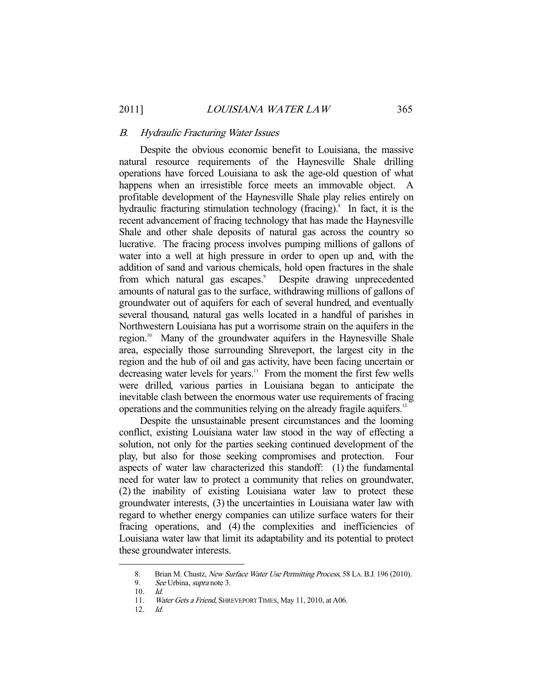#### B. Hydraulic Fracturing Water Issues

 Despite the obvious economic benefit to Louisiana, the massive natural resource requirements of the Haynesville Shale drilling operations have forced Louisiana to ask the age-old question of what happens when an irresistible force meets an immovable object. A profitable development of the Haynesville Shale play relies entirely on hydraulic fracturing stimulation technology (fracing).<sup>8</sup> In fact, it is the recent advancement of fracing technology that has made the Haynesville Shale and other shale deposits of natural gas across the country so lucrative. The fracing process involves pumping millions of gallons of water into a well at high pressure in order to open up and, with the addition of sand and various chemicals, hold open fractures in the shale from which natural gas escapes.<sup>9</sup> Despite drawing unprecedented amounts of natural gas to the surface, withdrawing millions of gallons of groundwater out of aquifers for each of several hundred, and eventually several thousand, natural gas wells located in a handful of parishes in Northwestern Louisiana has put a worrisome strain on the aquifers in the region.<sup>10</sup> Many of the groundwater aquifers in the Haynesville Shale area, especially those surrounding Shreveport, the largest city in the region and the hub of oil and gas activity, have been facing uncertain or decreasing water levels for years.<sup>11</sup> From the moment the first few wells were drilled, various parties in Louisiana began to anticipate the inevitable clash between the enormous water use requirements of fracing operations and the communities relying on the already fragile aquifers.<sup>12</sup>

 Despite the unsustainable present circumstances and the looming conflict, existing Louisiana water law stood in the way of effecting a solution, not only for the parties seeking continued development of the play, but also for those seeking compromises and protection. Four aspects of water law characterized this standoff: (1) the fundamental need for water law to protect a community that relies on groundwater, (2) the inability of existing Louisiana water law to protect these groundwater interests, (3) the uncertainties in Louisiana water law with regard to whether energy companies can utilize surface waters for their fracing operations, and (4) the complexities and inefficiencies of Louisiana water law that limit its adaptability and its potential to protect these groundwater interests.

<sup>8.</sup> Brian M. Chustz, New Surface Water Use Permitting Process, 58 LA. B.J. 196 (2010).<br>9. See Urbina, supra note 3.

See Urbina, *supra* note 3.

 <sup>10.</sup> Id.

<sup>11.</sup> Water Gets a Friend, SHREVEPORT TIMES, May 11, 2010, at A06.

 <sup>12.</sup> Id.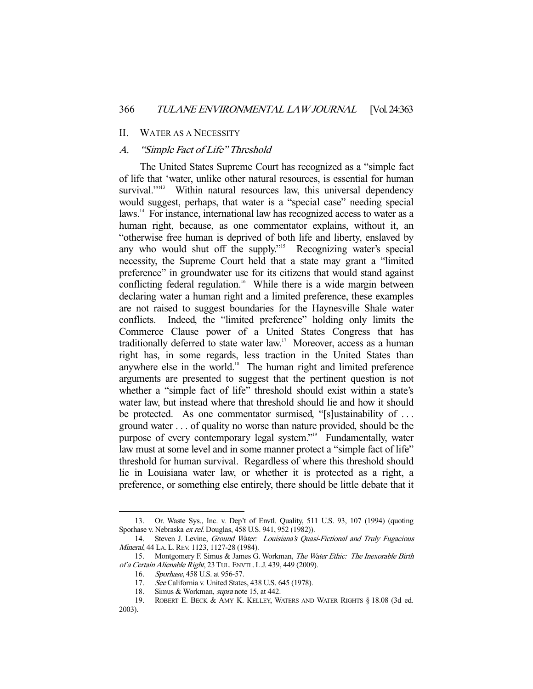#### II. WATER AS A NECESSITY

## A. "Simple Fact of Life" Threshold

 The United States Supreme Court has recognized as a "simple fact of life that 'water, unlike other natural resources, is essential for human survival."<sup>13</sup> Within natural resources law, this universal dependency would suggest, perhaps, that water is a "special case" needing special laws.<sup>14</sup> For instance, international law has recognized access to water as a human right, because, as one commentator explains, without it, an "otherwise free human is deprived of both life and liberty, enslaved by any who would shut off the supply."<sup>15</sup> Recognizing water's special necessity, the Supreme Court held that a state may grant a "limited preference" in groundwater use for its citizens that would stand against conflicting federal regulation.<sup>16</sup> While there is a wide margin between declaring water a human right and a limited preference, these examples are not raised to suggest boundaries for the Haynesville Shale water conflicts. Indeed, the "limited preference" holding only limits the Commerce Clause power of a United States Congress that has traditionally deferred to state water law.<sup>17</sup> Moreover, access as a human right has, in some regards, less traction in the United States than anywhere else in the world.<sup>18</sup> The human right and limited preference arguments are presented to suggest that the pertinent question is not whether a "simple fact of life" threshold should exist within a state's water law, but instead where that threshold should lie and how it should be protected. As one commentator surmised, "[s]ustainability of . . . ground water . . . of quality no worse than nature provided, should be the purpose of every contemporary legal system."19 Fundamentally, water law must at some level and in some manner protect a "simple fact of life" threshold for human survival. Regardless of where this threshold should lie in Louisiana water law, or whether it is protected as a right, a preference, or something else entirely, there should be little debate that it

 <sup>13.</sup> Or. Waste Sys., Inc. v. Dep't of Envtl. Quality, 511 U.S. 93, 107 (1994) (quoting Sporhase v. Nebraska ex rel. Douglas, 458 U.S. 941, 952 (1982)).

 <sup>14.</sup> Steven J. Levine, Ground Water: Louisiana's Quasi-Fictional and Truly Fugacious Mineral, 44 LA. L. REV. 1123, 1127-28 (1984).

 <sup>15.</sup> Montgomery F. Simus & James G. Workman, The Water Ethic: The Inexorable Birth of a Certain Alienable Right, 23 TUL.ENVTL. L.J. 439, 449 (2009).

 <sup>16.</sup> Sporhase, 458 U.S. at 956-57.

<sup>17.</sup> See California v. United States, 438 U.S. 645 (1978).<br>18. Simus & Workman, *supra* note 15, at 442.

Simus & Workman, *supra* note 15, at 442.

 <sup>19.</sup> ROBERT E. BECK & AMY K. KELLEY, WATERS AND WATER RIGHTS § 18.08 (3d ed. 2003).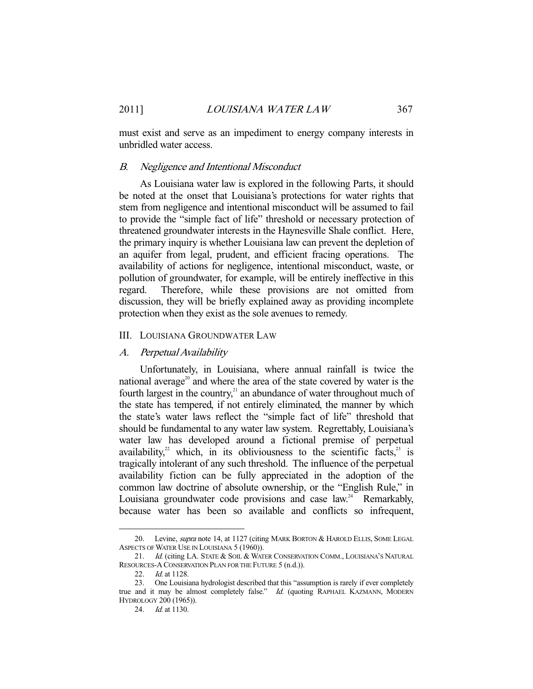must exist and serve as an impediment to energy company interests in unbridled water access.

#### B. Negligence and Intentional Misconduct

 As Louisiana water law is explored in the following Parts, it should be noted at the onset that Louisiana's protections for water rights that stem from negligence and intentional misconduct will be assumed to fail to provide the "simple fact of life" threshold or necessary protection of threatened groundwater interests in the Haynesville Shale conflict. Here, the primary inquiry is whether Louisiana law can prevent the depletion of an aquifer from legal, prudent, and efficient fracing operations. The availability of actions for negligence, intentional misconduct, waste, or pollution of groundwater, for example, will be entirely ineffective in this regard. Therefore, while these provisions are not omitted from discussion, they will be briefly explained away as providing incomplete protection when they exist as the sole avenues to remedy.

#### III. LOUISIANA GROUNDWATER LAW

#### A. Perpetual Availability

 Unfortunately, in Louisiana, where annual rainfall is twice the national average<sup>20</sup> and where the area of the state covered by water is the fourth largest in the country, $21$  an abundance of water throughout much of the state has tempered, if not entirely eliminated, the manner by which the state's water laws reflect the "simple fact of life" threshold that should be fundamental to any water law system. Regrettably, Louisiana's water law has developed around a fictional premise of perpetual availability,<sup>22</sup> which, in its obliviousness to the scientific facts, $23$  is tragically intolerant of any such threshold. The influence of the perpetual availability fiction can be fully appreciated in the adoption of the common law doctrine of absolute ownership, or the "English Rule," in Louisiana groundwater code provisions and case  $law<sup>24</sup>$  Remarkably, because water has been so available and conflicts so infrequent,

<sup>20.</sup> Levine, *supra* note 14, at 1127 (citing MARK BORTON & HAROLD ELLIS, SOME LEGAL ASPECTS OF WATER USE IN LOUISIANA 5 (1960)).

<sup>21.</sup> Id. (citing LA. STATE & SOIL & WATER CONSERVATION COMM., LOUISIANA'S NATURAL RESOURCES-A CONSERVATION PLAN FOR THE FUTURE 5 (n.d.)).

<sup>22.</sup> *Id.* at 1128.

 <sup>23.</sup> One Louisiana hydrologist described that this "assumption is rarely if ever completely true and it may be almost completely false." Id. (quoting RAPHAEL KAZMANN, MODERN HYDROLOGY 200 (1965)).

<sup>24.</sup> *Id.* at 1130.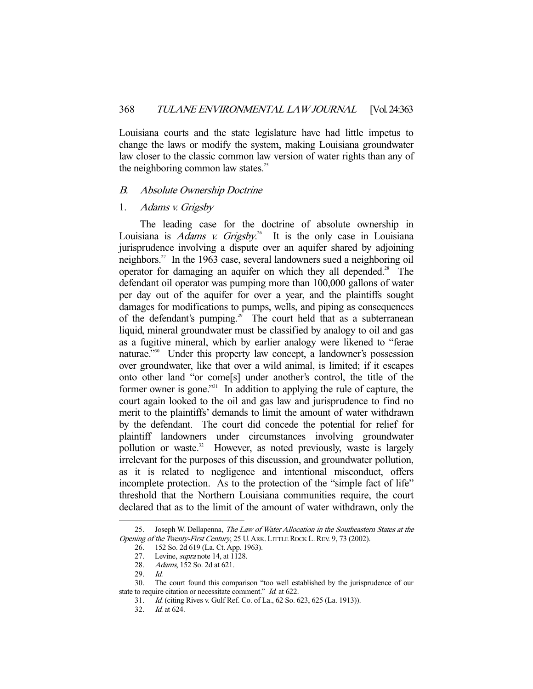Louisiana courts and the state legislature have had little impetus to change the laws or modify the system, making Louisiana groundwater law closer to the classic common law version of water rights than any of the neighboring common law states. $25$ 

#### B. Absolute Ownership Doctrine

## 1. Adams v. Grigsby

 The leading case for the doctrine of absolute ownership in Louisiana is *Adams v. Grigsby*.<sup>26</sup> It is the only case in Louisiana jurisprudence involving a dispute over an aquifer shared by adjoining neighbors.27 In the 1963 case, several landowners sued a neighboring oil operator for damaging an aquifer on which they all depended.<sup>28</sup> The defendant oil operator was pumping more than 100,000 gallons of water per day out of the aquifer for over a year, and the plaintiffs sought damages for modifications to pumps, wells, and piping as consequences of the defendant's pumping.<sup>29</sup> The court held that as a subterranean liquid, mineral groundwater must be classified by analogy to oil and gas as a fugitive mineral, which by earlier analogy were likened to "ferae naturae."<sup>30</sup> Under this property law concept, a landowner's possession over groundwater, like that over a wild animal, is limited; if it escapes onto other land "or come[s] under another's control, the title of the former owner is gone."31 In addition to applying the rule of capture, the court again looked to the oil and gas law and jurisprudence to find no merit to the plaintiffs' demands to limit the amount of water withdrawn by the defendant. The court did concede the potential for relief for plaintiff landowners under circumstances involving groundwater pollution or waste.<sup>32</sup> However, as noted previously, waste is largely irrelevant for the purposes of this discussion, and groundwater pollution, as it is related to negligence and intentional misconduct, offers incomplete protection. As to the protection of the "simple fact of life" threshold that the Northern Louisiana communities require, the court declared that as to the limit of the amount of water withdrawn, only the

<sup>25.</sup> Joseph W. Dellapenna, The Law of Water Allocation in the Southeastern States at the Opening of the Twenty-First Century, 25 U. ARK. LITTLE ROCK L. REV. 9, 73 (2002).

 <sup>26. 152</sup> So. 2d 619 (La. Ct. App. 1963).

<sup>27.</sup> Levine, *supra* note 14, at 1128.

<sup>28.</sup> Adams, 152 So. 2d at 621.

 <sup>29.</sup> Id.

 <sup>30.</sup> The court found this comparison "too well established by the jurisprudence of our state to require citation or necessitate comment." Id. at 622.

 <sup>31.</sup> Id. (citing Rives v. Gulf Ref. Co. of La., 62 So. 623, 625 (La. 1913)).

 <sup>32.</sup> Id. at 624.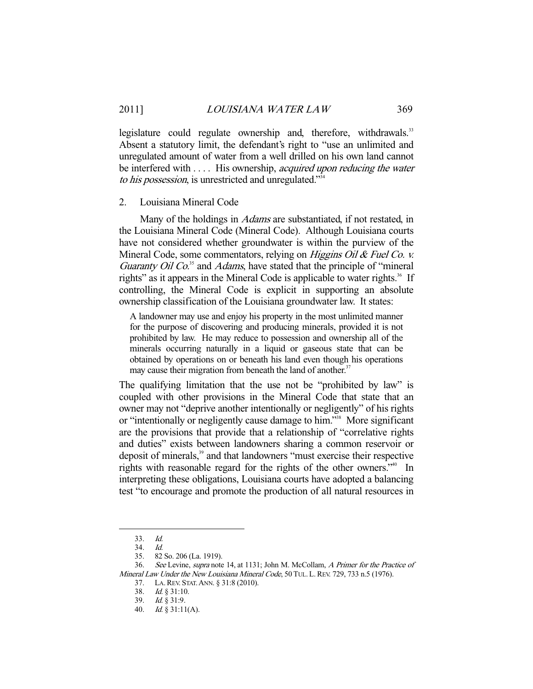legislature could regulate ownership and, therefore, withdrawals.<sup>33</sup> Absent a statutory limit, the defendant's right to "use an unlimited and unregulated amount of water from a well drilled on his own land cannot be interfered with .... His ownership, *acquired upon reducing the water* to his possession, is unrestricted and unregulated."<sup>34</sup>

#### 2. Louisiana Mineral Code

 Many of the holdings in Adams are substantiated, if not restated, in the Louisiana Mineral Code (Mineral Code). Although Louisiana courts have not considered whether groundwater is within the purview of the Mineral Code, some commentators, relying on Higgins Oil & Fuel Co. v. Guaranty Oil Co. $35$  and Adams, have stated that the principle of "mineral" rights" as it appears in the Mineral Code is applicable to water rights.<sup>36</sup> If controlling, the Mineral Code is explicit in supporting an absolute ownership classification of the Louisiana groundwater law. It states:

A landowner may use and enjoy his property in the most unlimited manner for the purpose of discovering and producing minerals, provided it is not prohibited by law. He may reduce to possession and ownership all of the minerals occurring naturally in a liquid or gaseous state that can be obtained by operations on or beneath his land even though his operations may cause their migration from beneath the land of another.<sup>37</sup>

The qualifying limitation that the use not be "prohibited by law" is coupled with other provisions in the Mineral Code that state that an owner may not "deprive another intentionally or negligently" of his rights or "intentionally or negligently cause damage to him."<sup>38</sup> More significant are the provisions that provide that a relationship of "correlative rights and duties" exists between landowners sharing a common reservoir or deposit of minerals,<sup>39</sup> and that landowners "must exercise their respective rights with reasonable regard for the rights of the other owners."<sup>40</sup> In interpreting these obligations, Louisiana courts have adopted a balancing test "to encourage and promote the production of all natural resources in

 <sup>33.</sup> Id.

 <sup>34.</sup> Id.

 <sup>35. 82</sup> So. 206 (La. 1919).

 <sup>36.</sup> See Levine, supra note 14, at 1131; John M. McCollam, A Primer for the Practice of Mineral Law Under the New Louisiana Mineral Code, 50 TUL. L. REV. 729, 733 n.5 (1976).

 <sup>37.</sup> LA.REV. STAT.ANN. § 31:8 (2010).

 <sup>38.</sup> Id. § 31:10.

 <sup>39.</sup> Id. § 31:9.

 <sup>40.</sup> Id. § 31:11(A).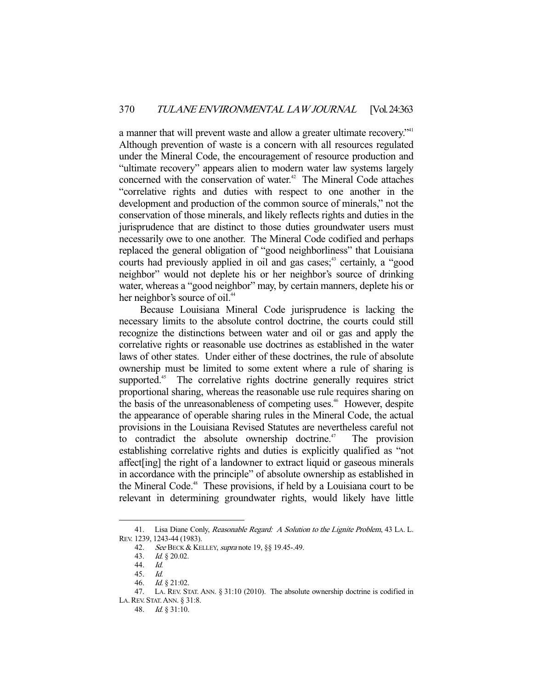a manner that will prevent waste and allow a greater ultimate recovery."<sup>41</sup> Although prevention of waste is a concern with all resources regulated under the Mineral Code, the encouragement of resource production and "ultimate recovery" appears alien to modern water law systems largely concerned with the conservation of water.<sup>42</sup> The Mineral Code attaches "correlative rights and duties with respect to one another in the development and production of the common source of minerals," not the conservation of those minerals, and likely reflects rights and duties in the jurisprudence that are distinct to those duties groundwater users must necessarily owe to one another. The Mineral Code codified and perhaps replaced the general obligation of "good neighborliness" that Louisiana courts had previously applied in oil and gas cases;<sup>43</sup> certainly, a "good neighbor" would not deplete his or her neighbor's source of drinking water, whereas a "good neighbor" may, by certain manners, deplete his or her neighbor's source of oil.<sup>44</sup>

 Because Louisiana Mineral Code jurisprudence is lacking the necessary limits to the absolute control doctrine, the courts could still recognize the distinctions between water and oil or gas and apply the correlative rights or reasonable use doctrines as established in the water laws of other states. Under either of these doctrines, the rule of absolute ownership must be limited to some extent where a rule of sharing is supported.<sup>45</sup> The correlative rights doctrine generally requires strict proportional sharing, whereas the reasonable use rule requires sharing on the basis of the unreasonableness of competing uses.<sup>46</sup> However, despite the appearance of operable sharing rules in the Mineral Code, the actual provisions in the Louisiana Revised Statutes are nevertheless careful not to contradict the absolute ownership doctrine.<sup> $47$ </sup> The provision establishing correlative rights and duties is explicitly qualified as "not affect[ing] the right of a landowner to extract liquid or gaseous minerals in accordance with the principle" of absolute ownership as established in the Mineral Code.<sup>48</sup> These provisions, if held by a Louisiana court to be relevant in determining groundwater rights, would likely have little

<sup>41.</sup> Lisa Diane Conly, Reasonable Regard: A Solution to the Lignite Problem, 43 LA. L. REV. 1239, 1243-44 (1983).

<sup>42.</sup> See BECK & KELLEY, *supra* note 19, §§ 19.45-.49.

 <sup>43.</sup> Id. § 20.02.

 <sup>44.</sup> Id.

 <sup>45.</sup> Id.

 <sup>46.</sup> Id. § 21:02.

 <sup>47.</sup> LA. REV. STAT. ANN. § 31:10 (2010). The absolute ownership doctrine is codified in LA.REV. STAT.ANN. § 31:8.

 <sup>48.</sup> Id. § 31:10.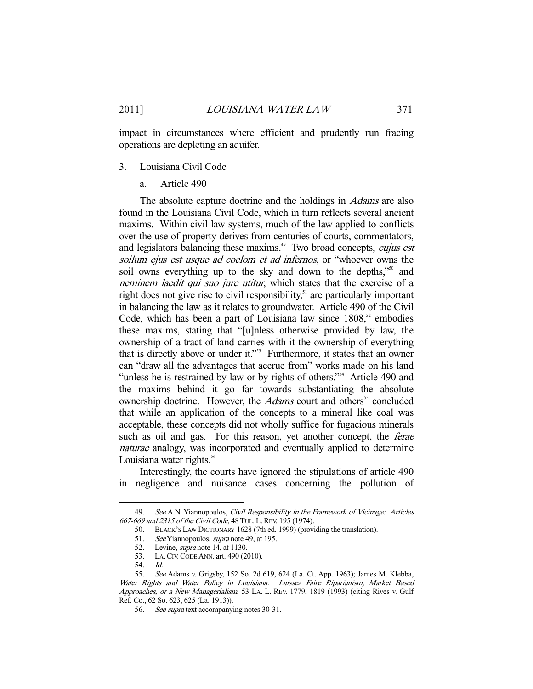impact in circumstances where efficient and prudently run fracing operations are depleting an aquifer.

#### 3. Louisiana Civil Code

a. Article 490

The absolute capture doctrine and the holdings in *Adams* are also found in the Louisiana Civil Code, which in turn reflects several ancient maxims. Within civil law systems, much of the law applied to conflicts over the use of property derives from centuries of courts, commentators, and legislators balancing these maxims.<sup>49</sup> Two broad concepts, cujus est soilum ejus est usque ad coelom et ad infernos, or "whoever owns the soil owns everything up to the sky and down to the depths,"<sup>50</sup> and neminem laedit qui suo jure utitur, which states that the exercise of a right does not give rise to civil responsibility, $51$  are particularly important in balancing the law as it relates to groundwater. Article 490 of the Civil Code, which has been a part of Louisiana law since  $1808$ ,<sup>52</sup> embodies these maxims, stating that "[u]nless otherwise provided by law, the ownership of a tract of land carries with it the ownership of everything that is directly above or under it."<sup>53</sup> Furthermore, it states that an owner can "draw all the advantages that accrue from" works made on his land "unless he is restrained by law or by rights of others."<sup>54</sup> Article 490 and the maxims behind it go far towards substantiating the absolute ownership doctrine. However, the *Adams* court and others<sup>55</sup> concluded that while an application of the concepts to a mineral like coal was acceptable, these concepts did not wholly suffice for fugacious minerals such as oil and gas. For this reason, yet another concept, the *ferae* naturae analogy, was incorporated and eventually applied to determine Louisiana water rights.<sup>56</sup>

 Interestingly, the courts have ignored the stipulations of article 490 in negligence and nuisance cases concerning the pollution of

<sup>49.</sup> See A.N. Yiannopoulos, Civil Responsibility in the Framework of Vicinage: Articles 667-669 and 2315 of the Civil Code, 48 TUL. L.REV. 195 (1974).

 <sup>50.</sup> BLACK'S LAW DICTIONARY 1628 (7th ed. 1999) (providing the translation).

<sup>51.</sup> See Yiannopoulos, *supra* note 49, at 195.

<sup>52.</sup> Levine, *supra* note 14, at 1130.

 <sup>53.</sup> LA.CIV.CODE ANN. art. 490 (2010).

 <sup>54.</sup> Id.

 <sup>55.</sup> See Adams v. Grigsby, 152 So. 2d 619, 624 (La. Ct. App. 1963); James M. Klebba, Water Rights and Water Policy in Louisiana: Laissez Faire Riparianism, Market Based Approaches, or a New Managerialism, 53 LA. L. REV. 1779, 1819 (1993) (citing Rives v. Gulf Ref. Co., 62 So. 623, 625 (La. 1913)).

<sup>56.</sup> See supra text accompanying notes 30-31.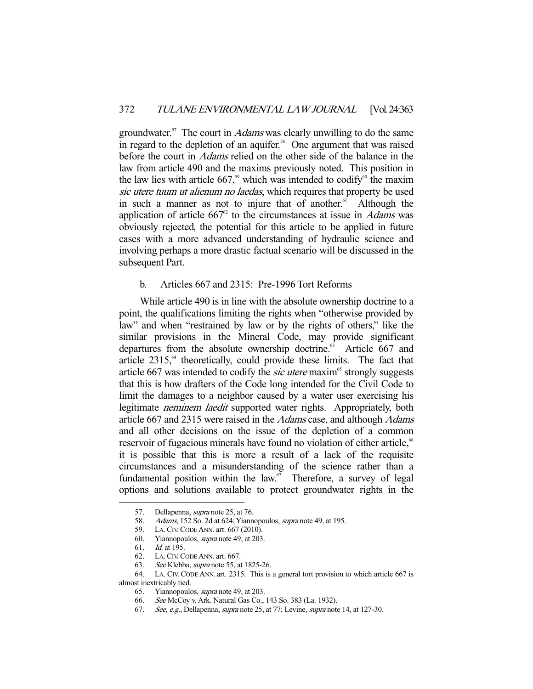groundwater.<sup>57</sup> The court in *Adams* was clearly unwilling to do the same in regard to the depletion of an aquifer.<sup>58</sup> One argument that was raised before the court in Adams relied on the other side of the balance in the law from article 490 and the maxims previously noted. This position in the law lies with article 667,<sup>59</sup> which was intended to codify<sup>60</sup> the maxim sic utere tuum ut alienum no laedas, which requires that property be used in such a manner as not to injure that of another.<sup>61</sup> Although the application of article  $667^{\circ}$  to the circumstances at issue in *Adams* was obviously rejected, the potential for this article to be applied in future cases with a more advanced understanding of hydraulic science and involving perhaps a more drastic factual scenario will be discussed in the subsequent Part.

## b. Articles 667 and 2315: Pre-1996 Tort Reforms

 While article 490 is in line with the absolute ownership doctrine to a point, the qualifications limiting the rights when "otherwise provided by law" and when "restrained by law or by the rights of others," like the similar provisions in the Mineral Code, may provide significant departures from the absolute ownership doctrine. $65$  Article 667 and article  $2315$ ,  $64$  theoretically, could provide these limits. The fact that article 667 was intended to codify the *sic utere* maxim<sup>65</sup> strongly suggests that this is how drafters of the Code long intended for the Civil Code to limit the damages to a neighbor caused by a water user exercising his legitimate *neminem laedit* supported water rights. Appropriately, both article 667 and 2315 were raised in the Adams case, and although Adams and all other decisions on the issue of the depletion of a common reservoir of fugacious minerals have found no violation of either article,<sup>66</sup> it is possible that this is more a result of a lack of the requisite circumstances and a misunderstanding of the science rather than a fundamental position within the law. $\degree$  Therefore, a survey of legal options and solutions available to protect groundwater rights in the

 <sup>57.</sup> Dellapenna, supra note 25, at 76.

<sup>58.</sup> Adams, 152 So. 2d at 624; Yiannopoulos, *supra* note 49, at 195.

 <sup>59.</sup> LA.CIV.CODE ANN. art. 667 (2010).

 <sup>60.</sup> Yiannopoulos, supra note 49, at 203.

 <sup>61.</sup> Id. at 195.

 <sup>62.</sup> LA.CIV.CODE ANN. art. 667.

<sup>63.</sup> See Klebba, *supra* note 55, at 1825-26.

 <sup>64.</sup> LA. CIV. CODE ANN. art. 2315. This is a general tort provision to which article 667 is almost inextricably tied.

 <sup>65.</sup> Yiannopoulos, supra note 49, at 203.

 <sup>66.</sup> See McCoy v. Ark. Natural Gas Co., 143 So. 383 (La. 1932).

<sup>67.</sup> See, e.g., Dellapenna, supra note 25, at 77; Levine, supra note 14, at 127-30.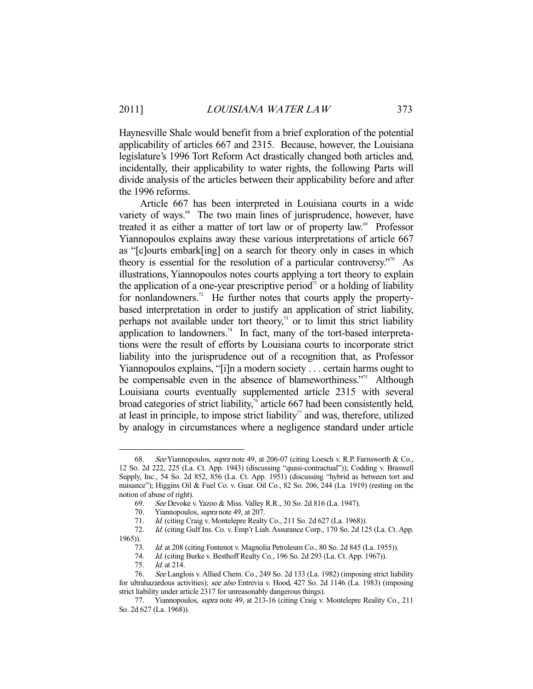Haynesville Shale would benefit from a brief exploration of the potential applicability of articles 667 and 2315. Because, however, the Louisiana legislature's 1996 Tort Reform Act drastically changed both articles and, incidentally, their applicability to water rights, the following Parts will divide analysis of the articles between their applicability before and after the 1996 reforms.

 Article 667 has been interpreted in Louisiana courts in a wide variety of ways.<sup>68</sup> The two main lines of jurisprudence, however, have treated it as either a matter of tort law or of property law.<sup>69</sup> Professor Yiannopoulos explains away these various interpretations of article 667 as "[c]ourts embark[ing] on a search for theory only in cases in which theory is essential for the resolution of a particular controversy. $\frac{1}{10}$  As illustrations, Yiannopoulos notes courts applying a tort theory to explain the application of a one-year prescriptive period<sup> $\pi$ </sup> or a holding of liability for nonlandowners.<sup>72</sup> He further notes that courts apply the propertybased interpretation in order to justify an application of strict liability, perhaps not available under tort theory,<sup>33</sup> or to limit this strict liability application to landowners.<sup>74</sup> In fact, many of the tort-based interpretations were the result of efforts by Louisiana courts to incorporate strict liability into the jurisprudence out of a recognition that, as Professor Yiannopoulos explains, "[i]n a modern society . . . certain harms ought to be compensable even in the absence of blameworthiness."<sup>75</sup> Although Louisiana courts eventually supplemented article 2315 with several broad categories of strict liability, $\frac{7}{6}$  article 667 had been consistently held, at least in principle, to impose strict liability<sup> $\tau$ </sup> and was, therefore, utilized by analogy in circumstances where a negligence standard under article

 <sup>68.</sup> See Yiannopoulos, supra note 49, at 206-07 (citing Loesch v. R.P. Farnsworth & Co., 12 So. 2d 222, 225 (La. Ct. App. 1943) (discussing "quasi-contractual")); Codding v. Braswell Supply, Inc., 54 So. 2d 852, 856 (La. Ct. App. 1951) (discussing "hybrid as between tort and nuisance"); Higgins Oil & Fuel Co. v. Guar. Oil Co., 82 So. 206, 244 (La. 1919) (resting on the notion of abuse of right).

 <sup>69.</sup> See Devoke v. Yazoo & Miss. Valley R.R., 30 So. 2d 816 (La. 1947).

<sup>70.</sup> Yiannopoulos, *supra* note 49, at 207.

<sup>71.</sup> *Id.* (citing Craig v. Montelepre Realty Co., 211 So. 2d 627 (La. 1968)).

 <sup>72.</sup> Id. (citing Gulf Ins. Co. v. Emp'r Liab. Assurance Corp., 170 So. 2d 125 (La. Ct. App. 1965)).

 <sup>73.</sup> Id. at 208 (citing Fontenot v. Magnolia Petroleum Co., 80 So. 2d 845 (La. 1955)).

 <sup>74.</sup> Id. (citing Burke v. Besthoff Realty Co., 196 So. 2d 293 (La. Ct. App. 1967)).

<sup>75.</sup> *Id.* at 214.

 <sup>76.</sup> See Langlois v. Allied Chem. Co., 249 So. 2d 133 (La. 1982) (imposing strict liability for ultrahazardous activities); see also Entrevia v. Hood, 427 So. 2d 1146 (La. 1983) (imposing strict liability under article 2317 for unreasonably dangerous things).

<sup>77.</sup> Yiannopoulos, *supra* note 49, at 213-16 (citing Craig v. Montelepre Reality Co., 211 So. 2d 627 (La. 1968)).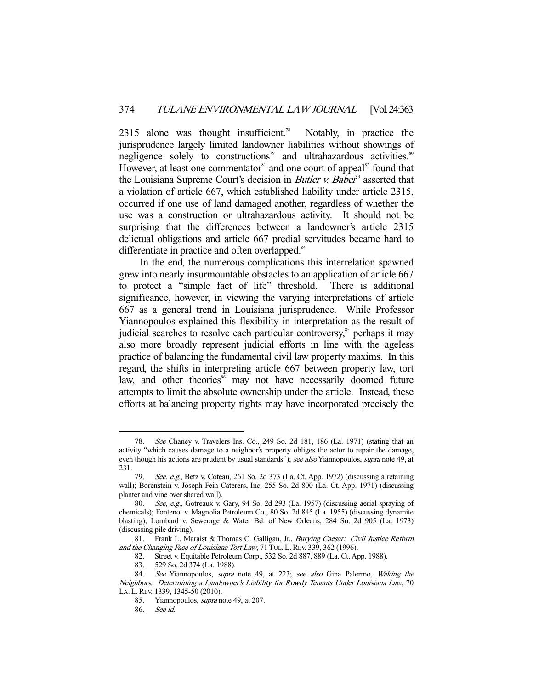2315 alone was thought insufficient.<sup>78</sup> Notably, in practice the jurisprudence largely limited landowner liabilities without showings of negligence solely to constructions<sup>79</sup> and ultrahazardous activities.<sup>80</sup> However, at least one commentator<sup>81</sup> and one court of appeal<sup>82</sup> found that the Louisiana Supreme Court's decision in *Butler v. Baber*<sup>33</sup> asserted that a violation of article 667, which established liability under article 2315, occurred if one use of land damaged another, regardless of whether the use was a construction or ultrahazardous activity. It should not be surprising that the differences between a landowner's article 2315 delictual obligations and article 667 predial servitudes became hard to differentiate in practice and often overlapped.<sup>84</sup>

 In the end, the numerous complications this interrelation spawned grew into nearly insurmountable obstacles to an application of article 667 to protect a "simple fact of life" threshold. There is additional significance, however, in viewing the varying interpretations of article 667 as a general trend in Louisiana jurisprudence. While Professor Yiannopoulos explained this flexibility in interpretation as the result of judicial searches to resolve each particular controversy,<sup>85</sup> perhaps it may also more broadly represent judicial efforts in line with the ageless practice of balancing the fundamental civil law property maxims. In this regard, the shifts in interpreting article 667 between property law, tort law, and other theories<sup>86</sup> may not have necessarily doomed future attempts to limit the absolute ownership under the article. Instead, these efforts at balancing property rights may have incorporated precisely the

 <sup>78.</sup> See Chaney v. Travelers Ins. Co., 249 So. 2d 181, 186 (La. 1971) (stating that an activity "which causes damage to a neighbor's property obliges the actor to repair the damage, even though his actions are prudent by usual standards"); see also Yiannopoulos, supra note 49, at 231.

See, e.g., Betz v. Coteau, 261 So. 2d 373 (La. Ct. App. 1972) (discussing a retaining wall); Borenstein v. Joseph Fein Caterers, Inc. 255 So. 2d 800 (La. Ct. App. 1971) (discussing planter and vine over shared wall).

 <sup>80.</sup> See, e.g., Gotreaux v. Gary, 94 So. 2d 293 (La. 1957) (discussing aerial spraying of chemicals); Fontenot v. Magnolia Petroleum Co., 80 So. 2d 845 (La. 1955) (discussing dynamite blasting); Lombard v. Sewerage & Water Bd. of New Orleans, 284 So. 2d 905 (La. 1973) (discussing pile driving).

<sup>81.</sup> Frank L. Maraist & Thomas C. Galligan, Jr., Burying Caesar: Civil Justice Reform and the Changing Face of Louisiana Tort Law, 71 TUL. L. REV. 339, 362 (1996).<br>82. Street v. Equitable Petroleum Corp., 532 So. 2d 887, 889 (La. Ct. Ap

<sup>82.</sup> Street v. Equitable Petroleum Corp., 532 So. 2d 887, 889 (La. Ct. App. 1988).<br>83. 529 So. 2d 374 (La. 1988).

<sup>529</sup> So. 2d 374 (La. 1988).

<sup>84.</sup> See Yiannopoulos, *supra* note 49, at 223; see also Gina Palermo, Waking the Neighbors: Determining a Landowner's Liability for Rowdy Tenants Under Louisiana Law, 70 LA. L.REV. 1339, 1345-50 (2010).

 <sup>85.</sup> Yiannopoulos, supra note 49, at 207.

 <sup>86.</sup> See id.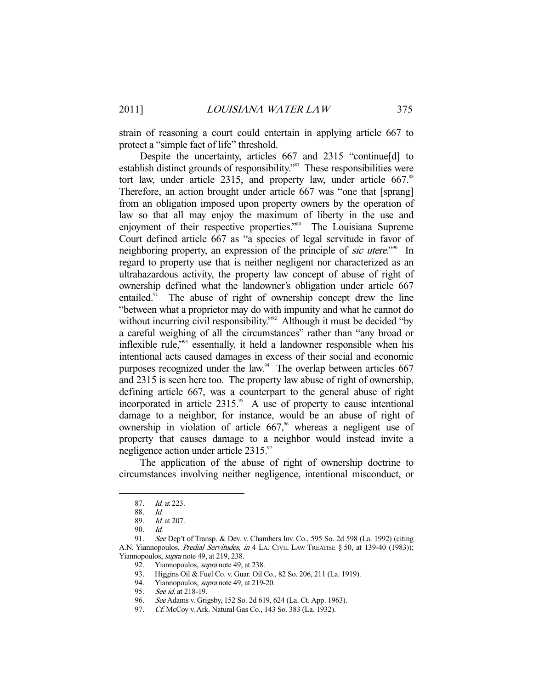strain of reasoning a court could entertain in applying article 667 to protect a "simple fact of life" threshold.

 Despite the uncertainty, articles 667 and 2315 "continue[d] to establish distinct grounds of responsibility."87 These responsibilities were tort law, under article 2315, and property law, under article 667.<sup>88</sup> Therefore, an action brought under article 667 was "one that [sprang] from an obligation imposed upon property owners by the operation of law so that all may enjoy the maximum of liberty in the use and enjoyment of their respective properties."<sup>89</sup> The Louisiana Supreme Court defined article 667 as "a species of legal servitude in favor of neighboring property, an expression of the principle of *sic utere*.<sup>"90</sup> In regard to property use that is neither negligent nor characterized as an ultrahazardous activity, the property law concept of abuse of right of ownership defined what the landowner's obligation under article 667 entailed.<sup>91</sup> The abuse of right of ownership concept drew the line "between what a proprietor may do with impunity and what he cannot do without incurring civil responsibility."<sup>92</sup> Although it must be decided "by a careful weighing of all the circumstances" rather than "any broad or inflexible rule,"93 essentially, it held a landowner responsible when his intentional acts caused damages in excess of their social and economic purposes recognized under the law.<sup>94</sup> The overlap between articles 667 and 2315 is seen here too. The property law abuse of right of ownership, defining article 667, was a counterpart to the general abuse of right incorporated in article  $2315$ .<sup>95</sup> A use of property to cause intentional damage to a neighbor, for instance, would be an abuse of right of ownership in violation of article  $667$ ,<sup> $\circ$ </sup> whereas a negligent use of property that causes damage to a neighbor would instead invite a negligence action under article 2315.<sup>97</sup>

 The application of the abuse of right of ownership doctrine to circumstances involving neither negligence, intentional misconduct, or

 <sup>87.</sup> Id. at 223.

 <sup>88.</sup> Id.

 <sup>89.</sup> Id. at 207.

 <sup>90.</sup> Id.

 <sup>91.</sup> See Dep't of Transp. & Dev. v. Chambers Inv. Co., 595 So. 2d 598 (La. 1992) (citing A.N. Yiannopoulos, *Predial Servitudes, in* 4 LA. CIVIL LAW TREATISE § 50, at 139-40 (1983)); Yiannopoulos, *supra* note 49, at 219, 238.

<sup>92.</sup> Yiannopoulos, *supra* note 49, at 238.

<sup>93.</sup> Higgins Oil & Fuel Co. v. Guar. Oil Co., 82 So. 206, 211 (La. 1919).<br>94. Yiannopoulos, *supra* note 49, at 219-20.

Yiannopoulos, *supra* note 49, at 219-20.

<sup>95.</sup> See id. at 218-19.

 <sup>96.</sup> See Adams v. Grigsby, 152 So. 2d 619, 624 (La. Ct. App. 1963).

 <sup>97.</sup> Cf. McCoy v. Ark. Natural Gas Co., 143 So. 383 (La. 1932).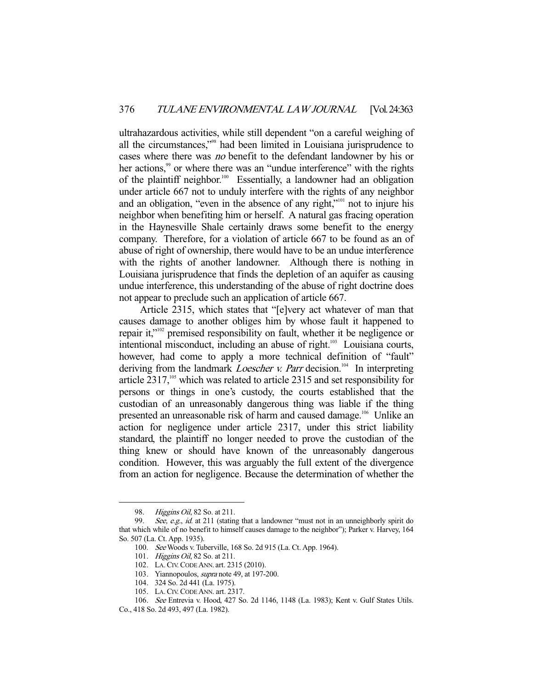ultrahazardous activities, while still dependent "on a careful weighing of all the circumstances,"98 had been limited in Louisiana jurisprudence to cases where there was no benefit to the defendant landowner by his or her actions,<sup>99</sup> or where there was an "undue interference" with the rights of the plaintiff neighbor.<sup>100</sup> Essentially, a landowner had an obligation under article 667 not to unduly interfere with the rights of any neighbor and an obligation, "even in the absence of any right,"101 not to injure his neighbor when benefiting him or herself. A natural gas fracing operation in the Haynesville Shale certainly draws some benefit to the energy company. Therefore, for a violation of article 667 to be found as an of abuse of right of ownership, there would have to be an undue interference with the rights of another landowner. Although there is nothing in Louisiana jurisprudence that finds the depletion of an aquifer as causing undue interference, this understanding of the abuse of right doctrine does not appear to preclude such an application of article 667.

 Article 2315, which states that "[e]very act whatever of man that causes damage to another obliges him by whose fault it happened to repair it,"102 premised responsibility on fault, whether it be negligence or intentional misconduct, including an abuse of right.<sup>103</sup> Louisiana courts, however, had come to apply a more technical definition of "fault" deriving from the landmark *Loescher v. Parr* decision.<sup>104</sup> In interpreting article  $2317$ ,<sup>105</sup> which was related to article  $2315$  and set responsibility for persons or things in one's custody, the courts established that the custodian of an unreasonably dangerous thing was liable if the thing presented an unreasonable risk of harm and caused damage.<sup>106</sup> Unlike an action for negligence under article 2317, under this strict liability standard, the plaintiff no longer needed to prove the custodian of the thing knew or should have known of the unreasonably dangerous condition. However, this was arguably the full extent of the divergence from an action for negligence. Because the determination of whether the

<sup>98.</sup> Higgins Oil, 82 So. at 211.

<sup>99.</sup> See, e.g., id. at 211 (stating that a landowner "must not in an unneighborly spirit do that which while of no benefit to himself causes damage to the neighbor"); Parker v. Harvey, 164 So. 507 (La. Ct. App. 1935).

 <sup>100.</sup> See Woods v. Tuberville, 168 So. 2d 915 (La. Ct. App. 1964).

 <sup>101.</sup> Higgins Oil, 82 So. at 211.

 <sup>102.</sup> LA.CIV.CODE ANN. art. 2315 (2010).

<sup>103.</sup> Yiannopoulos, *supra* note 49, at 197-200.

 <sup>104. 324</sup> So. 2d 441 (La. 1975).

 <sup>105.</sup> LA.CIV.CODE ANN. art. 2317.

 <sup>106.</sup> See Entrevia v. Hood, 427 So. 2d 1146, 1148 (La. 1983); Kent v. Gulf States Utils. Co., 418 So. 2d 493, 497 (La. 1982).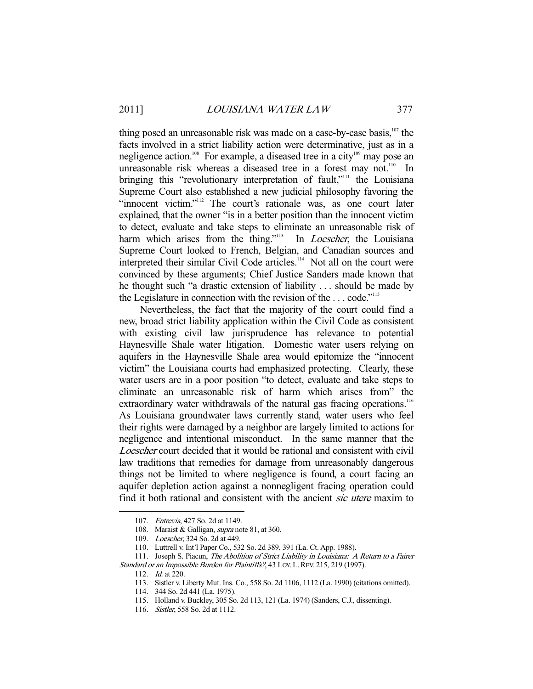thing posed an unreasonable risk was made on a case-by-case basis,<sup>107</sup> the facts involved in a strict liability action were determinative, just as in a negligence action.<sup>108</sup> For example, a diseased tree in a city<sup>109</sup> may pose an unreasonable risk whereas a diseased tree in a forest may not.<sup>110</sup> In bringing this "revolutionary interpretation of fault,"<sup>111</sup> the Louisiana Supreme Court also established a new judicial philosophy favoring the "innocent victim."<sup>112</sup> The court's rationale was, as one court later explained, that the owner "is in a better position than the innocent victim to detect, evaluate and take steps to eliminate an unreasonable risk of harm which arises from the thing."<sup>113</sup> In *Loescher*, the Louisiana Supreme Court looked to French, Belgian, and Canadian sources and interpreted their similar Civil Code articles.<sup>114</sup> Not all on the court were convinced by these arguments; Chief Justice Sanders made known that he thought such "a drastic extension of liability . . . should be made by the Legislature in connection with the revision of the  $\dots$  code."<sup>115</sup>

 Nevertheless, the fact that the majority of the court could find a new, broad strict liability application within the Civil Code as consistent with existing civil law jurisprudence has relevance to potential Haynesville Shale water litigation. Domestic water users relying on aquifers in the Haynesville Shale area would epitomize the "innocent victim" the Louisiana courts had emphasized protecting. Clearly, these water users are in a poor position "to detect, evaluate and take steps to eliminate an unreasonable risk of harm which arises from" the extraordinary water withdrawals of the natural gas fracing operations.<sup>116</sup> As Louisiana groundwater laws currently stand, water users who feel their rights were damaged by a neighbor are largely limited to actions for negligence and intentional misconduct. In the same manner that the Loescher court decided that it would be rational and consistent with civil law traditions that remedies for damage from unreasonably dangerous things not be limited to where negligence is found, a court facing an aquifer depletion action against a nonnegligent fracing operation could find it both rational and consistent with the ancient *sic utere* maxim to

 <sup>107.</sup> Entrevia, 427 So. 2d at 1149.

<sup>108.</sup> Maraist & Galligan, *supra* note 81, at 360.

 <sup>109.</sup> Loescher, 324 So. 2d at 449.

 <sup>110.</sup> Luttrell v. Int'l Paper Co., 532 So. 2d 389, 391 (La. Ct. App. 1988).

<sup>111.</sup> Joseph S. Piacun, The Abolition of Strict Liability in Louisiana: A Return to a Fairer Standard or an Impossible Burden for Plaintiffs?, 43 LOY. L. REV. 215, 219 (1997).

 <sup>112.</sup> Id. at 220.

 <sup>113.</sup> Sistler v. Liberty Mut. Ins. Co., 558 So. 2d 1106, 1112 (La. 1990) (citations omitted).

 <sup>114. 344</sup> So. 2d 441 (La. 1975).

 <sup>115.</sup> Holland v. Buckley, 305 So. 2d 113, 121 (La. 1974) (Sanders, C.J., dissenting).

 <sup>116.</sup> Sistler, 558 So. 2d at 1112.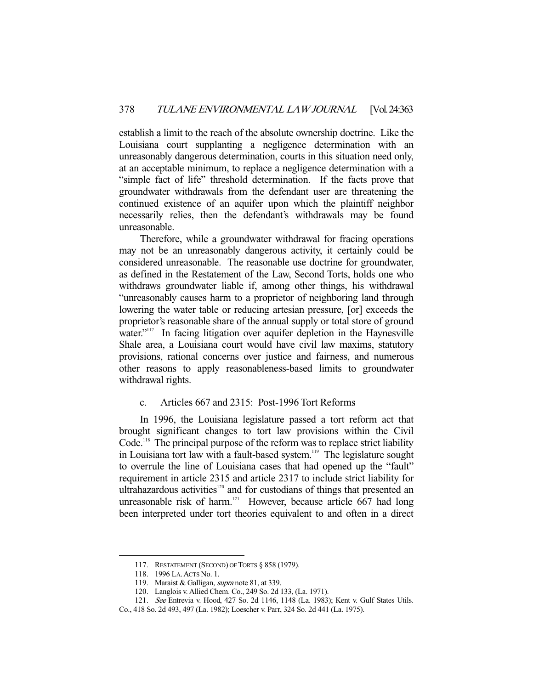establish a limit to the reach of the absolute ownership doctrine. Like the Louisiana court supplanting a negligence determination with an unreasonably dangerous determination, courts in this situation need only, at an acceptable minimum, to replace a negligence determination with a "simple fact of life" threshold determination. If the facts prove that groundwater withdrawals from the defendant user are threatening the continued existence of an aquifer upon which the plaintiff neighbor necessarily relies, then the defendant's withdrawals may be found unreasonable.

 Therefore, while a groundwater withdrawal for fracing operations may not be an unreasonably dangerous activity, it certainly could be considered unreasonable. The reasonable use doctrine for groundwater, as defined in the Restatement of the Law, Second Torts, holds one who withdraws groundwater liable if, among other things, his withdrawal "unreasonably causes harm to a proprietor of neighboring land through lowering the water table or reducing artesian pressure, [or] exceeds the proprietor's reasonable share of the annual supply or total store of ground water."<sup>117</sup> In facing litigation over aquifer depletion in the Haynesville Shale area, a Louisiana court would have civil law maxims, statutory provisions, rational concerns over justice and fairness, and numerous other reasons to apply reasonableness-based limits to groundwater withdrawal rights.

## c. Articles 667 and 2315: Post-1996 Tort Reforms

 In 1996, the Louisiana legislature passed a tort reform act that brought significant changes to tort law provisions within the Civil Code.<sup>118</sup> The principal purpose of the reform was to replace strict liability in Louisiana tort law with a fault-based system.<sup>119</sup> The legislature sought to overrule the line of Louisiana cases that had opened up the "fault" requirement in article 2315 and article 2317 to include strict liability for ultrahazardous activities<sup>120</sup> and for custodians of things that presented an unreasonable risk of harm.<sup>121</sup> However, because article  $\overline{667}$  had long been interpreted under tort theories equivalent to and often in a direct

 <sup>117.</sup> RESTATEMENT (SECOND) OF TORTS § 858 (1979).

 <sup>118. 1996</sup> LA.ACTS No. 1.

<sup>119.</sup> Maraist & Galligan, *supra* note 81, at 339.

 <sup>120.</sup> Langlois v. Allied Chem. Co., 249 So. 2d 133, (La. 1971).

 <sup>121.</sup> See Entrevia v. Hood, 427 So. 2d 1146, 1148 (La. 1983); Kent v. Gulf States Utils.

Co., 418 So. 2d 493, 497 (La. 1982); Loescher v. Parr, 324 So. 2d 441 (La. 1975).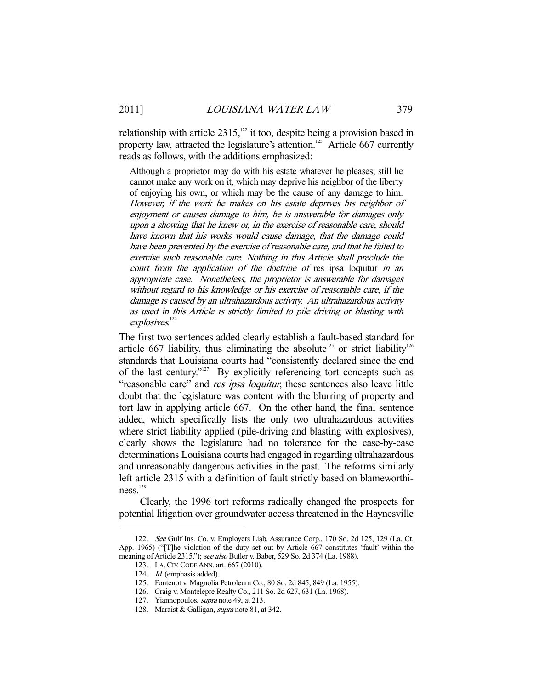relationship with article 2315,<sup>122</sup> it too, despite being a provision based in property law, attracted the legislature's attention.<sup>123</sup> Article 667 currently reads as follows, with the additions emphasized:

Although a proprietor may do with his estate whatever he pleases, still he cannot make any work on it, which may deprive his neighbor of the liberty of enjoying his own, or which may be the cause of any damage to him. However, if the work he makes on his estate deprives his neighbor of enjoyment or causes damage to him, he is answerable for damages only upon a showing that he knew or, in the exercise of reasonable care, should have known that his works would cause damage, that the damage could have been prevented by the exercise of reasonable care, and that he failed to exercise such reasonable care. Nothing in this Article shall preclude the court from the application of the doctrine of res ipsa loquitur in an appropriate case. Nonetheless, the proprietor is answerable for damages without regard to his knowledge or his exercise of reasonable care, if the damage is caused by an ultrahazardous activity. An ultrahazardous activity as used in this Article is strictly limited to pile driving or blasting with explosives.<sup>124</sup>

The first two sentences added clearly establish a fault-based standard for article 667 liability, thus eliminating the absolute<sup>125</sup> or strict liability<sup>126</sup> standards that Louisiana courts had "consistently declared since the end of the last century."127 By explicitly referencing tort concepts such as "reasonable care" and *res ipsa loquitur*, these sentences also leave little doubt that the legislature was content with the blurring of property and tort law in applying article 667. On the other hand, the final sentence added, which specifically lists the only two ultrahazardous activities where strict liability applied (pile-driving and blasting with explosives), clearly shows the legislature had no tolerance for the case-by-case determinations Louisiana courts had engaged in regarding ultrahazardous and unreasonably dangerous activities in the past. The reforms similarly left article 2315 with a definition of fault strictly based on blameworthiness.<sup>128</sup>

 Clearly, the 1996 tort reforms radically changed the prospects for potential litigation over groundwater access threatened in the Haynesville

 <sup>122.</sup> See Gulf Ins. Co. v. Employers Liab. Assurance Corp., 170 So. 2d 125, 129 (La. Ct. App. 1965) ("[T]he violation of the duty set out by Article 667 constitutes 'fault' within the meaning of Article 2315."); see also Butler v. Baber, 529 So. 2d 374 (La. 1988).

 <sup>123.</sup> LA.CIV.CODE ANN. art. 667 (2010).

 <sup>124.</sup> Id. (emphasis added).

 <sup>125.</sup> Fontenot v. Magnolia Petroleum Co., 80 So. 2d 845, 849 (La. 1955).

 <sup>126.</sup> Craig v. Montelepre Realty Co., 211 So. 2d 627, 631 (La. 1968).

<sup>127.</sup> Yiannopoulos, *supra* note 49, at 213.

<sup>128.</sup> Maraist & Galligan, *supra* note 81, at 342.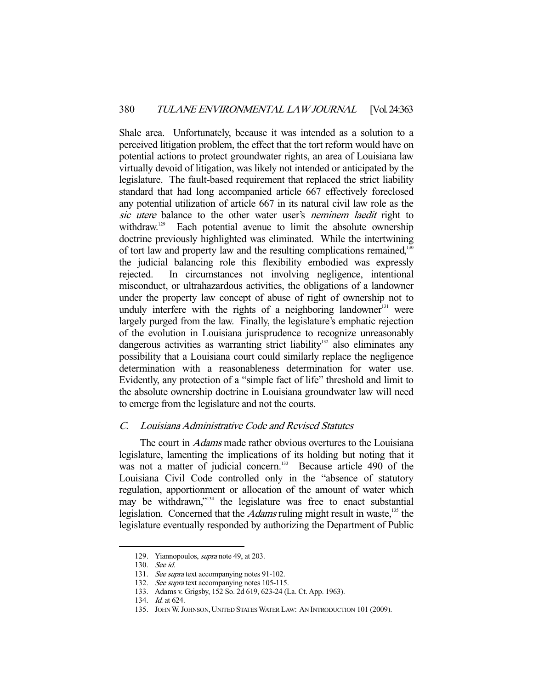Shale area. Unfortunately, because it was intended as a solution to a perceived litigation problem, the effect that the tort reform would have on potential actions to protect groundwater rights, an area of Louisiana law virtually devoid of litigation, was likely not intended or anticipated by the legislature. The fault-based requirement that replaced the strict liability standard that had long accompanied article 667 effectively foreclosed any potential utilization of article 667 in its natural civil law role as the sic utere balance to the other water user's neminem laedit right to withdraw.<sup>129</sup> Each potential avenue to limit the absolute ownership doctrine previously highlighted was eliminated. While the intertwining of tort law and property law and the resulting complications remained,<sup>130</sup> the judicial balancing role this flexibility embodied was expressly rejected. In circumstances not involving negligence, intentional misconduct, or ultrahazardous activities, the obligations of a landowner under the property law concept of abuse of right of ownership not to unduly interfere with the rights of a neighboring landowner<sup>131</sup> were largely purged from the law. Finally, the legislature's emphatic rejection of the evolution in Louisiana jurisprudence to recognize unreasonably dangerous activities as warranting strict liability<sup>132</sup> also eliminates any possibility that a Louisiana court could similarly replace the negligence determination with a reasonableness determination for water use. Evidently, any protection of a "simple fact of life" threshold and limit to the absolute ownership doctrine in Louisiana groundwater law will need to emerge from the legislature and not the courts.

## C. Louisiana Administrative Code and Revised Statutes

The court in *Adams* made rather obvious overtures to the Louisiana legislature, lamenting the implications of its holding but noting that it was not a matter of judicial concern.<sup>133</sup> Because article 490 of the Louisiana Civil Code controlled only in the "absence of statutory regulation, apportionment or allocation of the amount of water which may be withdrawn,"<sup>134</sup> the legislature was free to enact substantial legislation. Concerned that the *Adams* ruling might result in waste,<sup>135</sup> the legislature eventually responded by authorizing the Department of Public

 <sup>129.</sup> Yiannopoulos, supra note 49, at 203.

 <sup>130.</sup> See id.

<sup>131.</sup> See supra text accompanying notes 91-102.

<sup>132.</sup> See supra text accompanying notes 105-115.

 <sup>133.</sup> Adams v. Grigsby, 152 So. 2d 619, 623-24 (La. Ct. App. 1963).

 <sup>134.</sup> Id. at 624.

 <sup>135.</sup> JOHN W.JOHNSON, UNITED STATES WATER LAW: AN INTRODUCTION 101 (2009).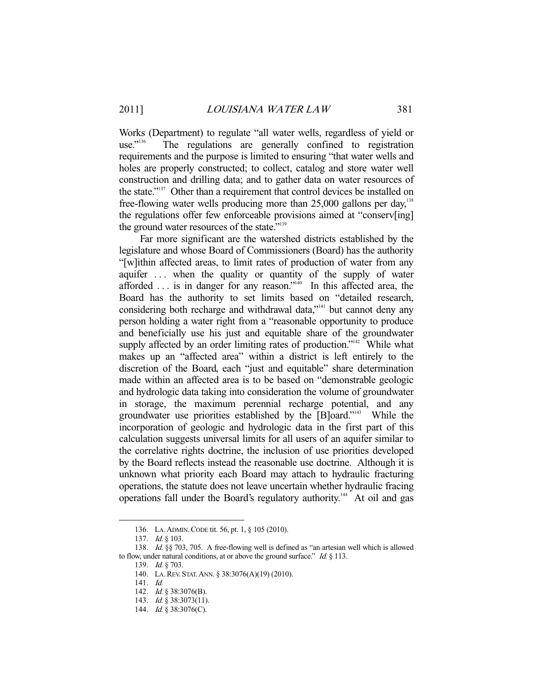Works (Department) to regulate "all water wells, regardless of yield or use."<sup>136</sup> The regulations are generally confined to registration The regulations are generally confined to registration requirements and the purpose is limited to ensuring "that water wells and holes are properly constructed; to collect, catalog and store water well construction and drilling data; and to gather data on water resources of the state."137 Other than a requirement that control devices be installed on free-flowing water wells producing more than  $25,000$  gallons per day,<sup>138</sup> the regulations offer few enforceable provisions aimed at "conserv[ing] the ground water resources of the state."<sup>139</sup>

 Far more significant are the watershed districts established by the legislature and whose Board of Commissioners (Board) has the authority "[w]ithin affected areas, to limit rates of production of water from any aquifer . . . when the quality or quantity of the supply of water afforded  $\ldots$  is in danger for any reason."<sup>140</sup> In this affected area, the Board has the authority to set limits based on "detailed research, considering both recharge and withdrawal data,"141 but cannot deny any person holding a water right from a "reasonable opportunity to produce and beneficially use his just and equitable share of the groundwater supply affected by an order limiting rates of production."<sup>142</sup> While what makes up an "affected area" within a district is left entirely to the discretion of the Board, each "just and equitable" share determination made within an affected area is to be based on "demonstrable geologic and hydrologic data taking into consideration the volume of groundwater in storage, the maximum perennial recharge potential, and any groundwater use priorities established by the [B]oard."143 While the incorporation of geologic and hydrologic data in the first part of this calculation suggests universal limits for all users of an aquifer similar to the correlative rights doctrine, the inclusion of use priorities developed by the Board reflects instead the reasonable use doctrine. Although it is unknown what priority each Board may attach to hydraulic fracturing operations, the statute does not leave uncertain whether hydraulic fracing operations fall under the Board's regulatory authority.<sup>144</sup> At oil and gas

 <sup>136.</sup> LA.ADMIN.CODE tit. 56, pt. 1, § 105 (2010).

<sup>137.</sup> *Id.* § 103.

 <sup>138.</sup> Id. §§ 703, 705. A free-flowing well is defined as "an artesian well which is allowed to flow, under natural conditions, at or above the ground surface." Id.  $\S$  113.

<sup>139.</sup> *Id.* § 703.

 <sup>140.</sup> LA.REV. STAT.ANN. § 38:3076(A)(19) (2010).

 <sup>141.</sup> Id.

<sup>142.</sup> *Id.* § 38:3076(B).

<sup>143.</sup> *Id.* § 38:3073(11).

<sup>144.</sup> *Id.* § 38:3076(C).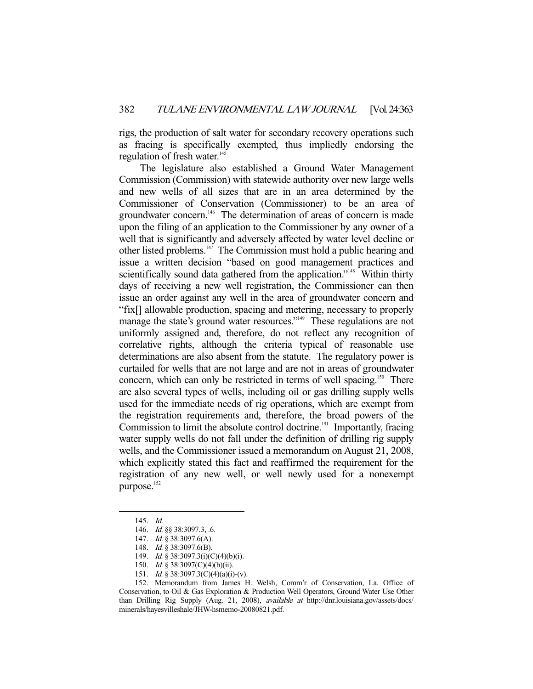rigs, the production of salt water for secondary recovery operations such as fracing is specifically exempted, thus impliedly endorsing the regulation of fresh water.<sup>145</sup>

 The legislature also established a Ground Water Management Commission (Commission) with statewide authority over new large wells and new wells of all sizes that are in an area determined by the Commissioner of Conservation (Commissioner) to be an area of groundwater concern.<sup>146</sup> The determination of areas of concern is made upon the filing of an application to the Commissioner by any owner of a well that is significantly and adversely affected by water level decline or other listed problems. $147$  The Commission must hold a public hearing and issue a written decision "based on good management practices and scientifically sound data gathered from the application."<sup>148</sup> Within thirty days of receiving a new well registration, the Commissioner can then issue an order against any well in the area of groundwater concern and "fix[] allowable production, spacing and metering, necessary to properly manage the state's ground water resources."<sup>149</sup> These regulations are not uniformly assigned and, therefore, do not reflect any recognition of correlative rights, although the criteria typical of reasonable use determinations are also absent from the statute. The regulatory power is curtailed for wells that are not large and are not in areas of groundwater concern, which can only be restricted in terms of well spacing.<sup>150</sup> There are also several types of wells, including oil or gas drilling supply wells used for the immediate needs of rig operations, which are exempt from the registration requirements and, therefore, the broad powers of the Commission to limit the absolute control doctrine.<sup>151</sup> Importantly, fracing water supply wells do not fall under the definition of drilling rig supply wells, and the Commissioner issued a memorandum on August 21, 2008, which explicitly stated this fact and reaffirmed the requirement for the registration of any new well, or well newly used for a nonexempt purpose.<sup>152</sup>

 <sup>145.</sup> Id.

<sup>146.</sup> *Id.* §§ 38:3097.3, .6.

<sup>147.</sup> *Id.* § 38:3097.6(A).

 <sup>148.</sup> Id. § 38:3097.6(B).

 <sup>149.</sup> Id. § 38:3097.3(i)(C)(4)(b)(i).

 <sup>150.</sup> Id. § 38:3097(C)(4)(b)(ii).

<sup>151.</sup> *Id.* § 38:3097.3(C)(4)(a)(i)-(v).

 <sup>152.</sup> Memorandum from James H. Welsh, Comm'r of Conservation, La. Office of Conservation, to Oil & Gas Exploration & Production Well Operators, Ground Water Use Other than Drilling Rig Supply (Aug. 21, 2008), *available at http://dnr.louisiana.gov/assets/docs/* minerals/hayesvilleshale/JHW-hsmemo-20080821.pdf.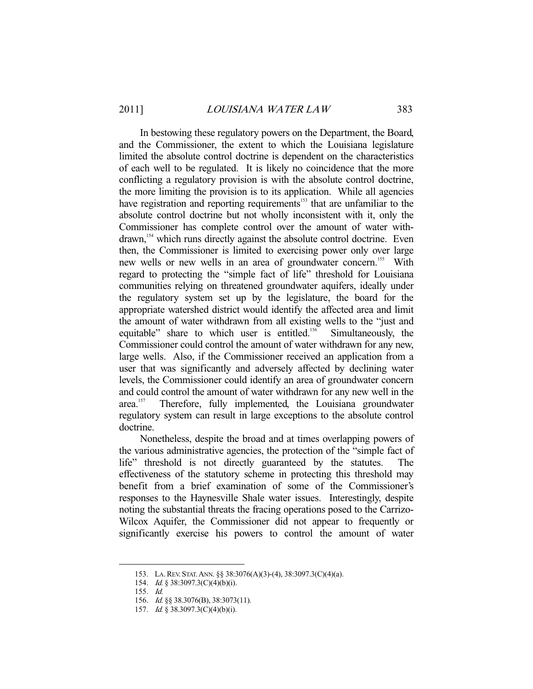In bestowing these regulatory powers on the Department, the Board, and the Commissioner, the extent to which the Louisiana legislature limited the absolute control doctrine is dependent on the characteristics of each well to be regulated. It is likely no coincidence that the more conflicting a regulatory provision is with the absolute control doctrine, the more limiting the provision is to its application. While all agencies have registration and reporting requirements<sup>153</sup> that are unfamiliar to the absolute control doctrine but not wholly inconsistent with it, only the Commissioner has complete control over the amount of water withdrawn,154 which runs directly against the absolute control doctrine. Even then, the Commissioner is limited to exercising power only over large new wells or new wells in an area of groundwater concern.<sup>155</sup> With regard to protecting the "simple fact of life" threshold for Louisiana communities relying on threatened groundwater aquifers, ideally under the regulatory system set up by the legislature, the board for the appropriate watershed district would identify the affected area and limit the amount of water withdrawn from all existing wells to the "just and equitable" share to which user is entitled.<sup>156</sup> Simultaneously, the Commissioner could control the amount of water withdrawn for any new, large wells. Also, if the Commissioner received an application from a user that was significantly and adversely affected by declining water levels, the Commissioner could identify an area of groundwater concern and could control the amount of water withdrawn for any new well in the area.<sup>157</sup> Therefore, fully implemented, the Louisiana groundwater Therefore, fully implemented, the Louisiana groundwater regulatory system can result in large exceptions to the absolute control doctrine.

 Nonetheless, despite the broad and at times overlapping powers of the various administrative agencies, the protection of the "simple fact of life" threshold is not directly guaranteed by the statutes. The effectiveness of the statutory scheme in protecting this threshold may benefit from a brief examination of some of the Commissioner's responses to the Haynesville Shale water issues. Interestingly, despite noting the substantial threats the fracing operations posed to the Carrizo-Wilcox Aquifer, the Commissioner did not appear to frequently or significantly exercise his powers to control the amount of water

 <sup>153.</sup> LA.REV. STAT.ANN. §§ 38:3076(A)(3)-(4), 38:3097.3(C)(4)(a).

 <sup>154.</sup> Id. § 38:3097.3(C)(4)(b)(i).

 <sup>155.</sup> Id.

 <sup>156.</sup> Id. §§ 38.3076(B), 38:3073(11).

 <sup>157.</sup> Id. § 38.3097.3(C)(4)(b)(i).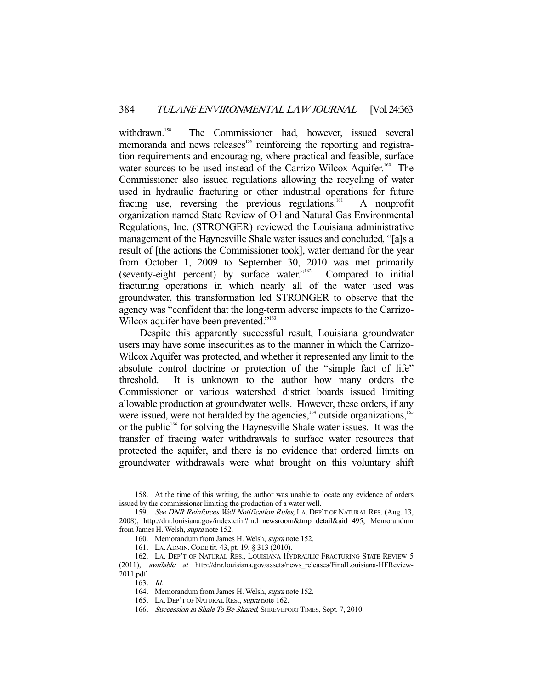withdrawn.<sup>158</sup> The Commissioner had, however, issued several memoranda and news releases<sup>159</sup> reinforcing the reporting and registration requirements and encouraging, where practical and feasible, surface water sources to be used instead of the Carrizo-Wilcox Aquifer.<sup>160</sup> The Commissioner also issued regulations allowing the recycling of water used in hydraulic fracturing or other industrial operations for future fracing use, reversing the previous regulations.<sup>161</sup> A nonprofit organization named State Review of Oil and Natural Gas Environmental Regulations, Inc. (STRONGER) reviewed the Louisiana administrative management of the Haynesville Shale water issues and concluded, "[a]s a result of [the actions the Commissioner took], water demand for the year from October 1, 2009 to September 30, 2010 was met primarily (seventy-eight percent) by surface water. $\frac{1}{100}$  Compared to initial fracturing operations in which nearly all of the water used was groundwater, this transformation led STRONGER to observe that the agency was "confident that the long-term adverse impacts to the Carrizo-Wilcox aquifer have been prevented."<sup>163</sup>

 Despite this apparently successful result, Louisiana groundwater users may have some insecurities as to the manner in which the Carrizo-Wilcox Aquifer was protected, and whether it represented any limit to the absolute control doctrine or protection of the "simple fact of life" threshold. It is unknown to the author how many orders the Commissioner or various watershed district boards issued limiting allowable production at groundwater wells. However, these orders, if any were issued, were not heralded by the agencies, $164$  outside organizations, $165$ or the public<sup>166</sup> for solving the Haynesville Shale water issues. It was the transfer of fracing water withdrawals to surface water resources that protected the aquifer, and there is no evidence that ordered limits on groundwater withdrawals were what brought on this voluntary shift

 <sup>158.</sup> At the time of this writing, the author was unable to locate any evidence of orders issued by the commissioner limiting the production of a water well.

 <sup>159.</sup> See DNR Reinforces Well Notification Rules, LA. DEP'T OF NATURAL RES. (Aug. 13, 2008), http://dnr.louisiana.gov/index.cfm?md=newsroom&tmp=detail&aid=495; Memorandum from James H. Welsh, supra note 152.

 <sup>160.</sup> Memorandum from James H. Welsh, supra note 152.

 <sup>161.</sup> LA.ADMIN.CODE tit. 43, pt. 19, § 313 (2010).

 <sup>162.</sup> LA. DEP'T OF NATURAL RES., LOUISIANA HYDRAULIC FRACTURING STATE REVIEW 5 (2011), available at http://dnr.louisiana.gov/assets/news\_releases/FinalLouisiana-HFReview-2011.pdf.

 <sup>163.</sup> Id.

<sup>164.</sup> Memorandum from James H. Welsh, *supra* note 152.

 <sup>165.</sup> LA. DEP'T OF NATURAL RES., supra note 162.

<sup>166.</sup> Succession in Shale To Be Shared, SHREVEPORT TIMES, Sept. 7, 2010.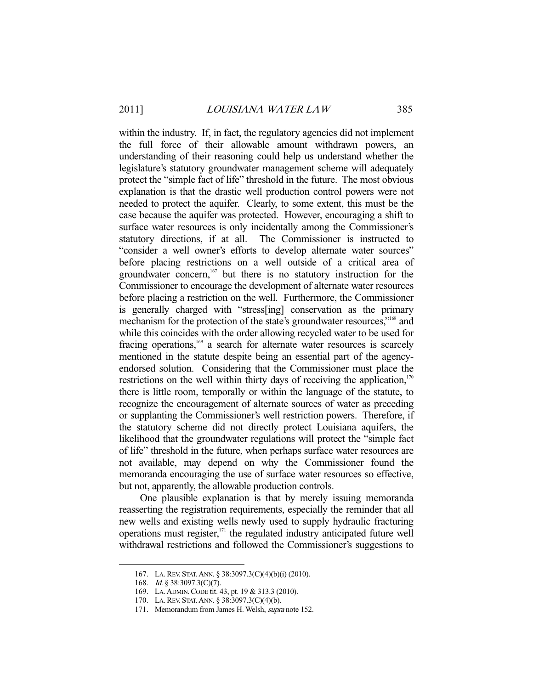within the industry. If, in fact, the regulatory agencies did not implement the full force of their allowable amount withdrawn powers, an understanding of their reasoning could help us understand whether the legislature's statutory groundwater management scheme will adequately protect the "simple fact of life" threshold in the future. The most obvious explanation is that the drastic well production control powers were not needed to protect the aquifer. Clearly, to some extent, this must be the case because the aquifer was protected. However, encouraging a shift to surface water resources is only incidentally among the Commissioner's statutory directions, if at all. The Commissioner is instructed to "consider a well owner's efforts to develop alternate water sources" before placing restrictions on a well outside of a critical area of groundwater concern, $167$  but there is no statutory instruction for the Commissioner to encourage the development of alternate water resources before placing a restriction on the well. Furthermore, the Commissioner is generally charged with "stress[ing] conservation as the primary mechanism for the protection of the state's groundwater resources,<sup>"168</sup> and while this coincides with the order allowing recycled water to be used for fracing operations,<sup>169</sup> a search for alternate water resources is scarcely mentioned in the statute despite being an essential part of the agencyendorsed solution. Considering that the Commissioner must place the restrictions on the well within thirty days of receiving the application, $170$ there is little room, temporally or within the language of the statute, to recognize the encouragement of alternate sources of water as preceding or supplanting the Commissioner's well restriction powers. Therefore, if the statutory scheme did not directly protect Louisiana aquifers, the likelihood that the groundwater regulations will protect the "simple fact of life" threshold in the future, when perhaps surface water resources are not available, may depend on why the Commissioner found the memoranda encouraging the use of surface water resources so effective, but not, apparently, the allowable production controls.

 One plausible explanation is that by merely issuing memoranda reasserting the registration requirements, especially the reminder that all new wells and existing wells newly used to supply hydraulic fracturing operations must register, $171$  the regulated industry anticipated future well withdrawal restrictions and followed the Commissioner's suggestions to

 <sup>167.</sup> LA.REV. STAT.ANN. § 38:3097.3(C)(4)(b)(i) (2010).

 <sup>168.</sup> Id. § 38:3097.3(C)(7).

 <sup>169.</sup> LA.ADMIN.CODE tit. 43, pt. 19 & 313.3 (2010).

 <sup>170.</sup> LA.REV. STAT.ANN. § 38:3097.3(C)(4)(b).

 <sup>171.</sup> Memorandum from James H. Welsh, supra note 152.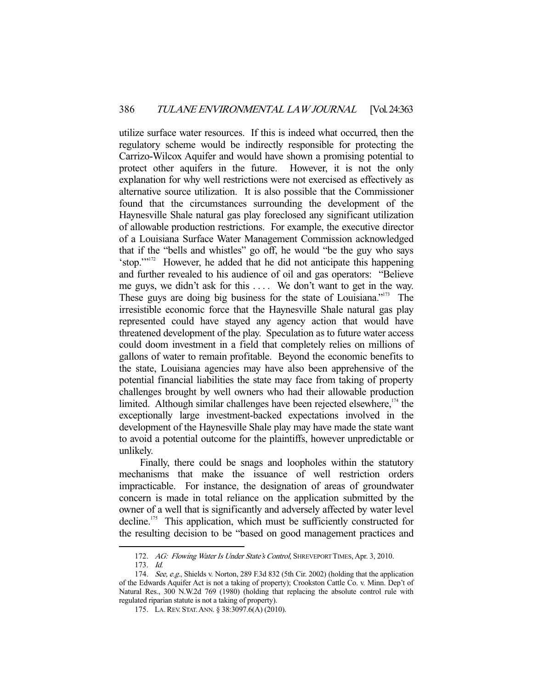utilize surface water resources. If this is indeed what occurred, then the regulatory scheme would be indirectly responsible for protecting the Carrizo-Wilcox Aquifer and would have shown a promising potential to protect other aquifers in the future. However, it is not the only explanation for why well restrictions were not exercised as effectively as alternative source utilization. It is also possible that the Commissioner found that the circumstances surrounding the development of the Haynesville Shale natural gas play foreclosed any significant utilization of allowable production restrictions. For example, the executive director of a Louisiana Surface Water Management Commission acknowledged that if the "bells and whistles" go off, he would "be the guy who says 'stop.'"172 However, he added that he did not anticipate this happening and further revealed to his audience of oil and gas operators: "Believe me guys, we didn't ask for this .... We don't want to get in the way. These guys are doing big business for the state of Louisiana."<sup>173</sup> The irresistible economic force that the Haynesville Shale natural gas play represented could have stayed any agency action that would have threatened development of the play. Speculation as to future water access could doom investment in a field that completely relies on millions of gallons of water to remain profitable. Beyond the economic benefits to the state, Louisiana agencies may have also been apprehensive of the potential financial liabilities the state may face from taking of property challenges brought by well owners who had their allowable production limited. Although similar challenges have been rejected elsewhere, $174$  the exceptionally large investment-backed expectations involved in the development of the Haynesville Shale play may have made the state want to avoid a potential outcome for the plaintiffs, however unpredictable or unlikely.

 Finally, there could be snags and loopholes within the statutory mechanisms that make the issuance of well restriction orders impracticable. For instance, the designation of areas of groundwater concern is made in total reliance on the application submitted by the owner of a well that is significantly and adversely affected by water level decline.<sup>175</sup> This application, which must be sufficiently constructed for the resulting decision to be "based on good management practices and

<sup>172.</sup> AG: Flowing Water Is Under State's Control, SHREVEPORT TIMES, Apr. 3, 2010.

 <sup>173.</sup> Id.

<sup>174.</sup> See, e.g., Shields v. Norton, 289 F.3d 832 (5th Cir. 2002) (holding that the application of the Edwards Aquifer Act is not a taking of property); Crookston Cattle Co. v. Minn. Dep't of Natural Res., 300 N.W.2d 769 (1980) (holding that replacing the absolute control rule with regulated riparian statute is not a taking of property).

 <sup>175.</sup> LA.REV. STAT.ANN. § 38:3097.6(A) (2010).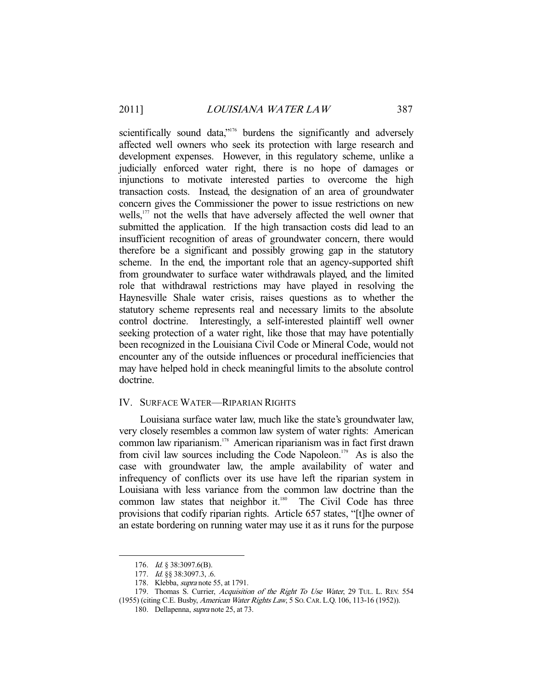scientifically sound data,"<sup>176</sup> burdens the significantly and adversely affected well owners who seek its protection with large research and development expenses. However, in this regulatory scheme, unlike a judicially enforced water right, there is no hope of damages or injunctions to motivate interested parties to overcome the high transaction costs. Instead, the designation of an area of groundwater concern gives the Commissioner the power to issue restrictions on new wells,<sup>177</sup> not the wells that have adversely affected the well owner that submitted the application. If the high transaction costs did lead to an insufficient recognition of areas of groundwater concern, there would therefore be a significant and possibly growing gap in the statutory scheme. In the end, the important role that an agency-supported shift from groundwater to surface water withdrawals played, and the limited role that withdrawal restrictions may have played in resolving the Haynesville Shale water crisis, raises questions as to whether the statutory scheme represents real and necessary limits to the absolute control doctrine. Interestingly, a self-interested plaintiff well owner seeking protection of a water right, like those that may have potentially been recognized in the Louisiana Civil Code or Mineral Code, would not encounter any of the outside influences or procedural inefficiencies that may have helped hold in check meaningful limits to the absolute control doctrine.

#### IV. SURFACE WATER—RIPARIAN RIGHTS

 Louisiana surface water law, much like the state's groundwater law, very closely resembles a common law system of water rights: American common law riparianism.178 American riparianism was in fact first drawn from civil law sources including the Code Napoleon.<sup>179</sup> As is also the case with groundwater law, the ample availability of water and infrequency of conflicts over its use have left the riparian system in Louisiana with less variance from the common law doctrine than the common law states that neighbor it. $180$  The Civil Code has three provisions that codify riparian rights. Article 657 states, "[t]he owner of an estate bordering on running water may use it as it runs for the purpose

 <sup>176.</sup> Id. § 38:3097.6(B).

 <sup>177.</sup> Id. §§ 38:3097.3, .6.

 <sup>178.</sup> Klebba, supra note 55, at 1791.

<sup>179.</sup> Thomas S. Currier, Acquisition of the Right To Use Water, 29 TUL. L. REV. 554 (1955) (citing C.E. Busby, American Water Rights Law, 5 SO.CAR. L.Q. 106, 113-16 (1952)).

 <sup>180.</sup> Dellapenna, supra note 25, at 73.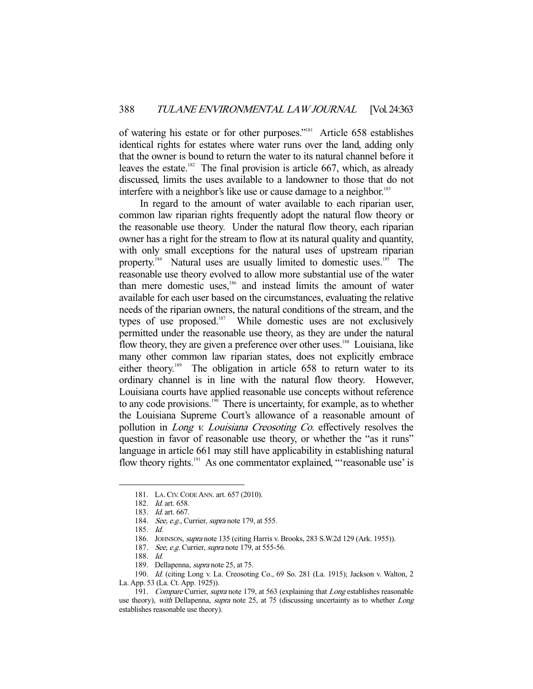of watering his estate or for other purposes."<sup>181</sup> Article 658 establishes identical rights for estates where water runs over the land, adding only that the owner is bound to return the water to its natural channel before it leaves the estate.<sup>182</sup> The final provision is article 667, which, as already discussed, limits the uses available to a landowner to those that do not interfere with a neighbor's like use or cause damage to a neighbor.<sup>183</sup>

 In regard to the amount of water available to each riparian user, common law riparian rights frequently adopt the natural flow theory or the reasonable use theory. Under the natural flow theory, each riparian owner has a right for the stream to flow at its natural quality and quantity, with only small exceptions for the natural uses of upstream riparian property.<sup>184</sup> Natural uses are usually limited to domestic uses.<sup>185</sup> The reasonable use theory evolved to allow more substantial use of the water than mere domestic uses,<sup>186</sup> and instead limits the amount of water available for each user based on the circumstances, evaluating the relative needs of the riparian owners, the natural conditions of the stream, and the types of use proposed. $187$  While domestic uses are not exclusively permitted under the reasonable use theory, as they are under the natural flow theory, they are given a preference over other uses.<sup>188</sup> Louisiana, like many other common law riparian states, does not explicitly embrace either theory.<sup>189</sup> The obligation in article 658 to return water to its ordinary channel is in line with the natural flow theory. However, Louisiana courts have applied reasonable use concepts without reference to any code provisions. $190$  There is uncertainty, for example, as to whether the Louisiana Supreme Court's allowance of a reasonable amount of pollution in Long v. Louisiana Creosoting Co. effectively resolves the question in favor of reasonable use theory, or whether the "as it runs" language in article 661 may still have applicability in establishing natural flow theory rights.<sup>191</sup> As one commentator explained, "'reasonable use' is

-

 190. Id. (citing Long v. La. Creosoting Co., 69 So. 281 (La. 1915); Jackson v. Walton, 2 La. App. 53 (La. Ct. App. 1925)).

 <sup>181.</sup> LA.CIV.CODE ANN. art. 657 (2010).

 <sup>182.</sup> Id. art. 658.

 <sup>183.</sup> Id. art. 667.

<sup>184.</sup> See, e.g., Currier, *supra* note 179, at 555.

 <sup>185.</sup> Id.

 <sup>186.</sup> JOHNSON, supra note 135 (citing Harris v. Brooks, 283 S.W.2d 129 (Ark. 1955)).

<sup>187.</sup> See, e.g. Currier, supra note 179, at 555-56.

 <sup>188.</sup> Id.

 <sup>189.</sup> Dellapenna, supra note 25, at 75.

<sup>191.</sup> Compare Currier, supra note 179, at 563 (explaining that Long establishes reasonable use theory), with Dellapenna, supra note 25, at 75 (discussing uncertainty as to whether Long establishes reasonable use theory).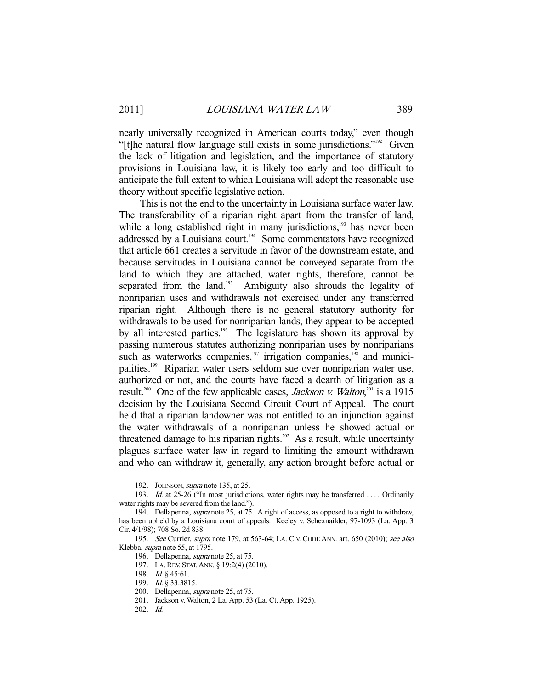nearly universally recognized in American courts today," even though "[t]he natural flow language still exists in some jurisdictions."192 Given the lack of litigation and legislation, and the importance of statutory provisions in Louisiana law, it is likely too early and too difficult to anticipate the full extent to which Louisiana will adopt the reasonable use theory without specific legislative action.

 This is not the end to the uncertainty in Louisiana surface water law. The transferability of a riparian right apart from the transfer of land, while a long established right in many jurisdictions, $193$  has never been addressed by a Louisiana court.<sup>194</sup> Some commentators have recognized that article 661 creates a servitude in favor of the downstream estate, and because servitudes in Louisiana cannot be conveyed separate from the land to which they are attached, water rights, therefore, cannot be separated from the land.<sup>195</sup> Ambiguity also shrouds the legality of nonriparian uses and withdrawals not exercised under any transferred riparian right. Although there is no general statutory authority for withdrawals to be used for nonriparian lands, they appear to be accepted by all interested parties.<sup>196</sup> The legislature has shown its approval by passing numerous statutes authorizing nonriparian uses by nonriparians such as waterworks companies, $\frac{197}{100}$  irrigation companies, $\frac{198}{100}$  and municipalities.199 Riparian water users seldom sue over nonriparian water use, authorized or not, and the courts have faced a dearth of litigation as a result.<sup>200</sup> One of the few applicable cases, *Jackson v. Walton*,<sup>201</sup> is a 1915 decision by the Louisiana Second Circuit Court of Appeal. The court held that a riparian landowner was not entitled to an injunction against the water withdrawals of a nonriparian unless he showed actual or threatened damage to his riparian rights.<sup>202</sup> As a result, while uncertainty plagues surface water law in regard to limiting the amount withdrawn and who can withdraw it, generally, any action brought before actual or

<sup>192.</sup> JOHNSON, *supra* note 135, at 25.

<sup>193.</sup> *Id.* at 25-26 ("In most jurisdictions, water rights may be transferred . . . . Ordinarily water rights may be severed from the land.").

 <sup>194.</sup> Dellapenna, supra note 25, at 75. A right of access, as opposed to a right to withdraw, has been upheld by a Louisiana court of appeals. Keeley v. Schexnailder, 97-1093 (La. App. 3 Cir. 4/1/98); 708 So. 2d 838.

 <sup>195.</sup> See Currier, supra note 179, at 563-64; LA. CIV. CODE ANN. art. 650 (2010); see also Klebba, supra note 55, at 1795.

 <sup>196.</sup> Dellapenna, supra note 25, at 75.

 <sup>197.</sup> LA.REV. STAT.ANN. § 19:2(4) (2010).

 <sup>198.</sup> Id. § 45:61.

<sup>199.</sup> *Id.* § 33:3815.

 <sup>200.</sup> Dellapenna, supra note 25, at 75.

 <sup>201.</sup> Jackson v. Walton, 2 La. App. 53 (La. Ct. App. 1925).

 <sup>202.</sup> Id.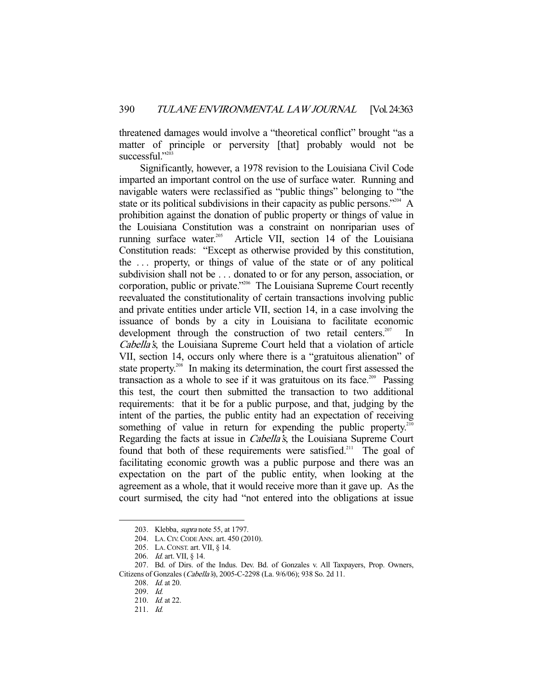threatened damages would involve a "theoretical conflict" brought "as a matter of principle or perversity [that] probably would not be successful."<sup>2</sup>

 Significantly, however, a 1978 revision to the Louisiana Civil Code imparted an important control on the use of surface water. Running and navigable waters were reclassified as "public things" belonging to "the state or its political subdivisions in their capacity as public persons."<sup>204</sup> A prohibition against the donation of public property or things of value in the Louisiana Constitution was a constraint on nonriparian uses of running surface water.<sup>205</sup> Article VII, section 14 of the Louisiana Constitution reads: "Except as otherwise provided by this constitution, the . . . property, or things of value of the state or of any political subdivision shall not be . . . donated to or for any person, association, or corporation, public or private."206 The Louisiana Supreme Court recently reevaluated the constitutionality of certain transactions involving public and private entities under article VII, section 14, in a case involving the issuance of bonds by a city in Louisiana to facilitate economic development through the construction of two retail centers.<sup>207</sup> Cabella's, the Louisiana Supreme Court held that a violation of article VII, section 14, occurs only where there is a "gratuitous alienation" of state property.<sup>208</sup> In making its determination, the court first assessed the transaction as a whole to see if it was gratuitous on its face.<sup>209</sup> Passing this test, the court then submitted the transaction to two additional requirements: that it be for a public purpose, and that, judging by the intent of the parties, the public entity had an expectation of receiving something of value in return for expending the public property.<sup>210</sup> Regarding the facts at issue in *Cabella's*, the Louisiana Supreme Court found that both of these requirements were satisfied.<sup>211</sup> The goal of facilitating economic growth was a public purpose and there was an expectation on the part of the public entity, when looking at the agreement as a whole, that it would receive more than it gave up. As the court surmised, the city had "not entered into the obligations at issue

<sup>203.</sup> Klebba, *supra* note 55, at 1797.

 <sup>204.</sup> LA.CIV.CODE ANN. art. 450 (2010).

 <sup>205.</sup> LA.CONST. art. VII, § 14.

 <sup>206.</sup> Id. art. VII, § 14.

 <sup>207.</sup> Bd. of Dirs. of the Indus. Dev. Bd. of Gonzales v. All Taxpayers, Prop. Owners, Citizens of Gonzales (Cabella's), 2005-C-2298 (La. 9/6/06); 938 So. 2d 11.

 <sup>208.</sup> Id. at 20.

 <sup>209.</sup> Id.

 <sup>210.</sup> Id. at 22.

 <sup>211.</sup> Id.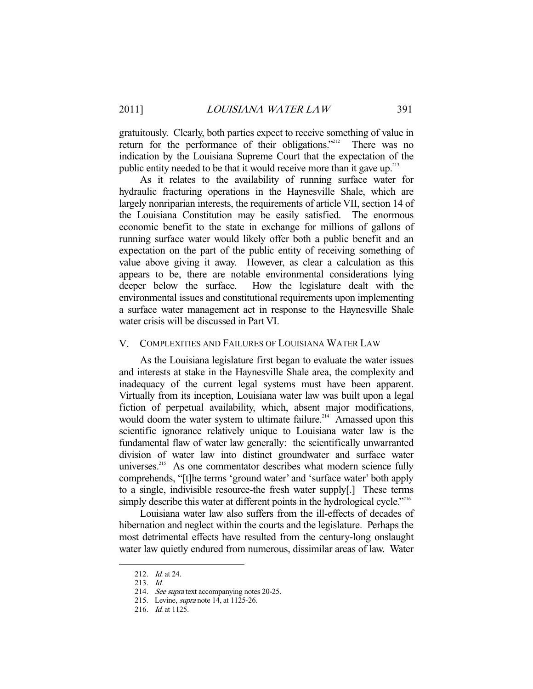gratuitously. Clearly, both parties expect to receive something of value in return for the performance of their obligations."<sup>212</sup> There was no indication by the Louisiana Supreme Court that the expectation of the public entity needed to be that it would receive more than it gave up.<sup>213</sup>

 As it relates to the availability of running surface water for hydraulic fracturing operations in the Haynesville Shale, which are largely nonriparian interests, the requirements of article VII, section 14 of the Louisiana Constitution may be easily satisfied. The enormous economic benefit to the state in exchange for millions of gallons of running surface water would likely offer both a public benefit and an expectation on the part of the public entity of receiving something of value above giving it away. However, as clear a calculation as this appears to be, there are notable environmental considerations lying deeper below the surface. How the legislature dealt with the environmental issues and constitutional requirements upon implementing a surface water management act in response to the Haynesville Shale water crisis will be discussed in Part VI.

#### V. COMPLEXITIES AND FAILURES OF LOUISIANA WATER LAW

 As the Louisiana legislature first began to evaluate the water issues and interests at stake in the Haynesville Shale area, the complexity and inadequacy of the current legal systems must have been apparent. Virtually from its inception, Louisiana water law was built upon a legal fiction of perpetual availability, which, absent major modifications, would doom the water system to ultimate failure.<sup>214</sup> Amassed upon this scientific ignorance relatively unique to Louisiana water law is the fundamental flaw of water law generally: the scientifically unwarranted division of water law into distinct groundwater and surface water universes.<sup>215</sup> As one commentator describes what modern science fully comprehends, "[t]he terms 'ground water' and 'surface water' both apply to a single, indivisible resource-the fresh water supply[.] These terms simply describe this water at different points in the hydrological cycle."<sup>216</sup>

 Louisiana water law also suffers from the ill-effects of decades of hibernation and neglect within the courts and the legislature. Perhaps the most detrimental effects have resulted from the century-long onslaught water law quietly endured from numerous, dissimilar areas of law. Water

 <sup>212.</sup> Id. at 24.

 <sup>213.</sup> Id.

<sup>214.</sup> See supra text accompanying notes 20-25.

 <sup>215.</sup> Levine, supra note 14, at 1125-26.

<sup>216.</sup> *Id.* at 1125.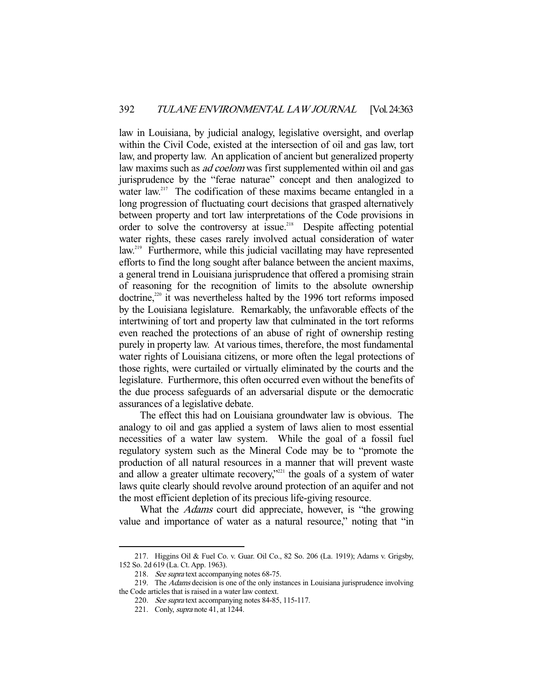law in Louisiana, by judicial analogy, legislative oversight, and overlap within the Civil Code, existed at the intersection of oil and gas law, tort law, and property law. An application of ancient but generalized property law maxims such as *ad coelom* was first supplemented within oil and gas jurisprudence by the "ferae naturae" concept and then analogized to water law.<sup>217</sup> The codification of these maxims became entangled in a long progression of fluctuating court decisions that grasped alternatively between property and tort law interpretations of the Code provisions in order to solve the controversy at issue.<sup>218</sup> Despite affecting potential water rights, these cases rarely involved actual consideration of water law.<sup>219</sup> Furthermore, while this judicial vacillating may have represented efforts to find the long sought after balance between the ancient maxims, a general trend in Louisiana jurisprudence that offered a promising strain of reasoning for the recognition of limits to the absolute ownership doctrine, $220$  it was nevertheless halted by the 1996 tort reforms imposed by the Louisiana legislature. Remarkably, the unfavorable effects of the intertwining of tort and property law that culminated in the tort reforms even reached the protections of an abuse of right of ownership resting purely in property law. At various times, therefore, the most fundamental water rights of Louisiana citizens, or more often the legal protections of those rights, were curtailed or virtually eliminated by the courts and the legislature. Furthermore, this often occurred even without the benefits of the due process safeguards of an adversarial dispute or the democratic assurances of a legislative debate.

 The effect this had on Louisiana groundwater law is obvious. The analogy to oil and gas applied a system of laws alien to most essential necessities of a water law system. While the goal of a fossil fuel regulatory system such as the Mineral Code may be to "promote the production of all natural resources in a manner that will prevent waste and allow a greater ultimate recovery,"<sup>221</sup> the goals of a system of water laws quite clearly should revolve around protection of an aquifer and not the most efficient depletion of its precious life-giving resource.

What the *Adams* court did appreciate, however, is "the growing value and importance of water as a natural resource," noting that "in

 <sup>217.</sup> Higgins Oil & Fuel Co. v. Guar. Oil Co., 82 So. 206 (La. 1919); Adams v. Grigsby, 152 So. 2d 619 (La. Ct. App. 1963).

<sup>218.</sup> See supra text accompanying notes 68-75.

<sup>219.</sup> The *Adams* decision is one of the only instances in Louisiana jurisprudence involving the Code articles that is raised in a water law context.

<sup>220.</sup> See supra text accompanying notes 84-85, 115-117.

 <sup>221.</sup> Conly, supra note 41, at 1244.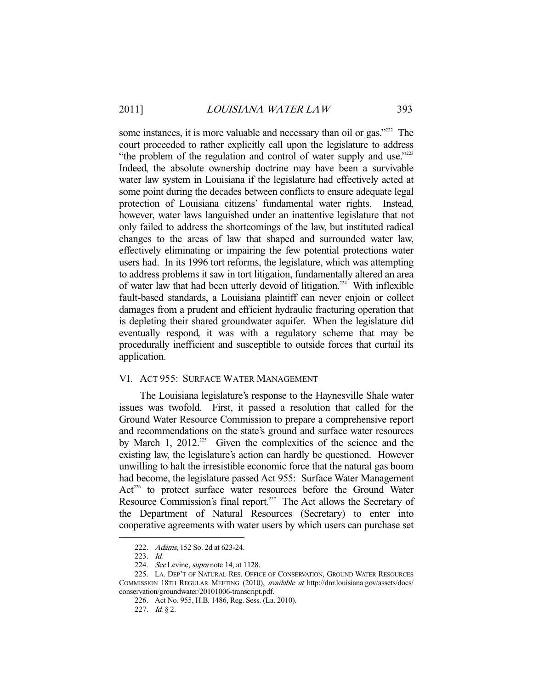some instances, it is more valuable and necessary than oil or gas."<sup>222</sup> The court proceeded to rather explicitly call upon the legislature to address "the problem of the regulation and control of water supply and use."<sup>223</sup> Indeed, the absolute ownership doctrine may have been a survivable water law system in Louisiana if the legislature had effectively acted at some point during the decades between conflicts to ensure adequate legal protection of Louisiana citizens' fundamental water rights. Instead, however, water laws languished under an inattentive legislature that not only failed to address the shortcomings of the law, but instituted radical changes to the areas of law that shaped and surrounded water law, effectively eliminating or impairing the few potential protections water users had. In its 1996 tort reforms, the legislature, which was attempting to address problems it saw in tort litigation, fundamentally altered an area of water law that had been utterly devoid of litigation.<sup>224</sup> With inflexible fault-based standards, a Louisiana plaintiff can never enjoin or collect damages from a prudent and efficient hydraulic fracturing operation that is depleting their shared groundwater aquifer. When the legislature did eventually respond, it was with a regulatory scheme that may be procedurally inefficient and susceptible to outside forces that curtail its application.

#### VI. ACT 955: SURFACE WATER MANAGEMENT

 The Louisiana legislature's response to the Haynesville Shale water issues was twofold. First, it passed a resolution that called for the Ground Water Resource Commission to prepare a comprehensive report and recommendations on the state's ground and surface water resources by March 1, 2012.<sup>225</sup> Given the complexities of the science and the existing law, the legislature's action can hardly be questioned. However unwilling to halt the irresistible economic force that the natural gas boom had become, the legislature passed Act 955: Surface Water Management Act<sup>226</sup> to protect surface water resources before the Ground Water Resource Commission's final report.<sup>227</sup> The Act allows the Secretary of the Department of Natural Resources (Secretary) to enter into cooperative agreements with water users by which users can purchase set

 <sup>222.</sup> Adams, 152 So. 2d at 623-24.

 <sup>223.</sup> Id.

<sup>224.</sup> See Levine, supra note 14, at 1128.

 <sup>225.</sup> LA. DEP'T OF NATURAL RES. OFFICE OF CONSERVATION, GROUND WATER RESOURCES COMMISSION 18TH REGULAR MEETING (2010), available at http://dnr.louisiana.gov/assets/docs/ conservation/groundwater/20101006-transcript.pdf.

 <sup>226.</sup> Act No. 955, H.B. 1486, Reg. Sess. (La. 2010).

 <sup>227.</sup> Id. § 2.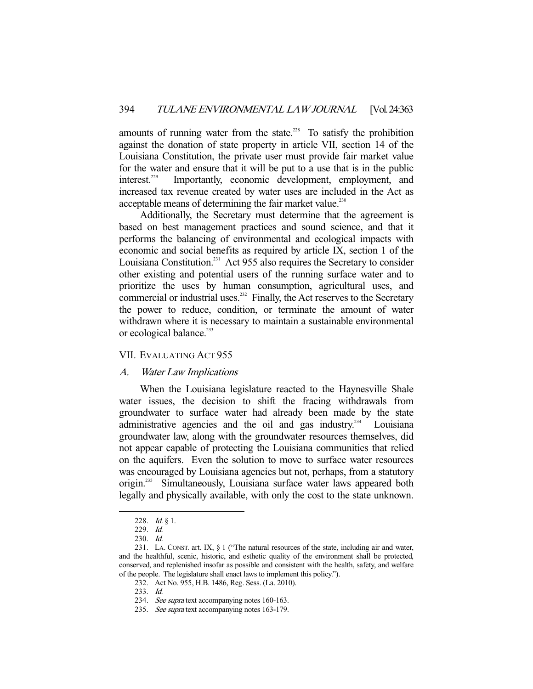amounts of running water from the state.<sup>228</sup> To satisfy the prohibition against the donation of state property in article VII, section 14 of the Louisiana Constitution, the private user must provide fair market value for the water and ensure that it will be put to a use that is in the public interest.<sup>229</sup> Importantly, economic development, employment, and increased tax revenue created by water uses are included in the Act as acceptable means of determining the fair market value.<sup>230</sup>

 Additionally, the Secretary must determine that the agreement is based on best management practices and sound science, and that it performs the balancing of environmental and ecological impacts with economic and social benefits as required by article IX, section 1 of the Louisiana Constitution.<sup>231</sup> Act 955 also requires the Secretary to consider other existing and potential users of the running surface water and to prioritize the uses by human consumption, agricultural uses, and commercial or industrial uses.<sup>232</sup> Finally, the Act reserves to the Secretary the power to reduce, condition, or terminate the amount of water withdrawn where it is necessary to maintain a sustainable environmental or ecological balance.<sup>233</sup>

## VII. EVALUATING ACT 955

## A. Water Law Implications

 When the Louisiana legislature reacted to the Haynesville Shale water issues, the decision to shift the fracing withdrawals from groundwater to surface water had already been made by the state administrative agencies and the oil and gas industry.<sup>234</sup> Louisiana groundwater law, along with the groundwater resources themselves, did not appear capable of protecting the Louisiana communities that relied on the aquifers. Even the solution to move to surface water resources was encouraged by Louisiana agencies but not, perhaps, from a statutory origin.<sup>235</sup> Simultaneously, Louisiana surface water laws appeared both legally and physically available, with only the cost to the state unknown.

 <sup>228.</sup> Id. § 1.

 <sup>229.</sup> Id.

 <sup>230.</sup> Id.

 <sup>231.</sup> LA. CONST. art. IX, § 1 ("The natural resources of the state, including air and water, and the healthful, scenic, historic, and esthetic quality of the environment shall be protected, conserved, and replenished insofar as possible and consistent with the health, safety, and welfare of the people. The legislature shall enact laws to implement this policy.").

 <sup>232.</sup> Act No. 955, H.B. 1486, Reg. Sess. (La. 2010).

 <sup>233.</sup> Id.

 <sup>234.</sup> See supra text accompanying notes 160-163.

<sup>235.</sup> See supra text accompanying notes 163-179.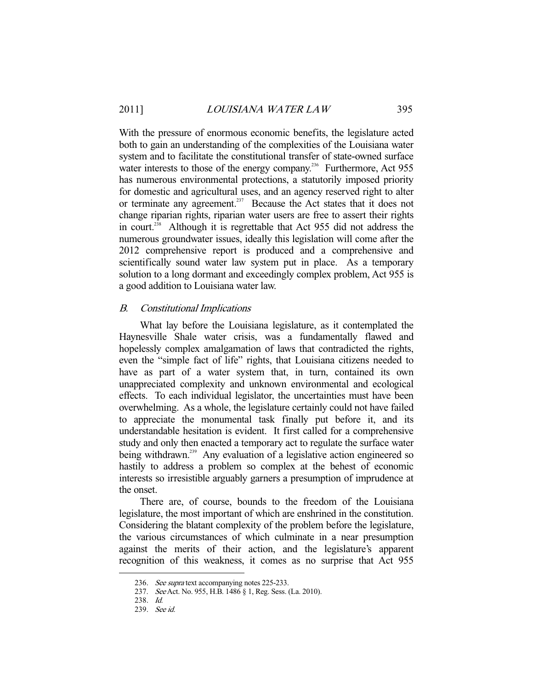With the pressure of enormous economic benefits, the legislature acted both to gain an understanding of the complexities of the Louisiana water system and to facilitate the constitutional transfer of state-owned surface water interests to those of the energy company.<sup>236</sup> Furthermore, Act 955 has numerous environmental protections, a statutorily imposed priority for domestic and agricultural uses, and an agency reserved right to alter or terminate any agreement.<sup>237</sup> Because the Act states that it does not change riparian rights, riparian water users are free to assert their rights in court.<sup> $238$ </sup> Although it is regrettable that Act 955 did not address the numerous groundwater issues, ideally this legislation will come after the 2012 comprehensive report is produced and a comprehensive and scientifically sound water law system put in place. As a temporary solution to a long dormant and exceedingly complex problem, Act 955 is a good addition to Louisiana water law.

## B. Constitutional Implications

 What lay before the Louisiana legislature, as it contemplated the Haynesville Shale water crisis, was a fundamentally flawed and hopelessly complex amalgamation of laws that contradicted the rights, even the "simple fact of life" rights, that Louisiana citizens needed to have as part of a water system that, in turn, contained its own unappreciated complexity and unknown environmental and ecological effects. To each individual legislator, the uncertainties must have been overwhelming. As a whole, the legislature certainly could not have failed to appreciate the monumental task finally put before it, and its understandable hesitation is evident. It first called for a comprehensive study and only then enacted a temporary act to regulate the surface water being withdrawn.<sup>239</sup> Any evaluation of a legislative action engineered so hastily to address a problem so complex at the behest of economic interests so irresistible arguably garners a presumption of imprudence at the onset.

 There are, of course, bounds to the freedom of the Louisiana legislature, the most important of which are enshrined in the constitution. Considering the blatant complexity of the problem before the legislature, the various circumstances of which culminate in a near presumption against the merits of their action, and the legislature's apparent recognition of this weakness, it comes as no surprise that Act 955

<sup>236.</sup> See supra text accompanying notes 225-233.

 <sup>237.</sup> See Act. No. 955, H.B. 1486 § 1, Reg. Sess. (La. 2010).

 <sup>238.</sup> Id.

 <sup>239.</sup> See id.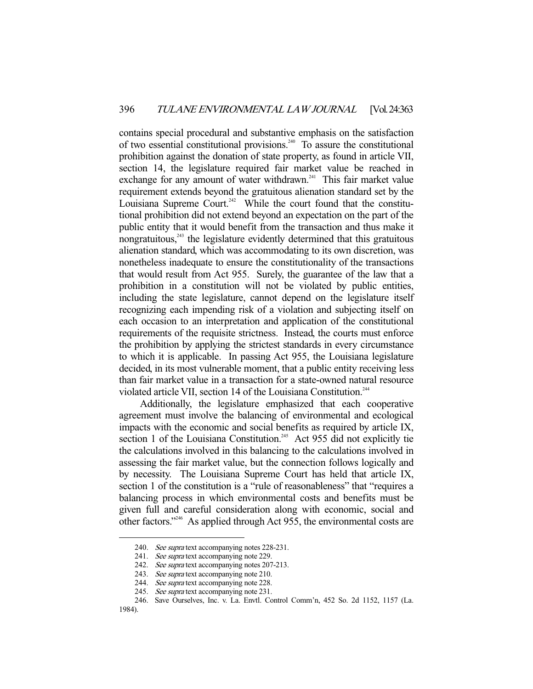contains special procedural and substantive emphasis on the satisfaction of two essential constitutional provisions.<sup>240</sup> To assure the constitutional prohibition against the donation of state property, as found in article VII, section 14, the legislature required fair market value be reached in exchange for any amount of water withdrawn.<sup>241</sup> This fair market value requirement extends beyond the gratuitous alienation standard set by the Louisiana Supreme Court.<sup>242</sup> While the court found that the constitutional prohibition did not extend beyond an expectation on the part of the public entity that it would benefit from the transaction and thus make it nongratuitous, $243$  the legislature evidently determined that this gratuitous alienation standard, which was accommodating to its own discretion, was nonetheless inadequate to ensure the constitutionality of the transactions that would result from Act 955. Surely, the guarantee of the law that a prohibition in a constitution will not be violated by public entities, including the state legislature, cannot depend on the legislature itself recognizing each impending risk of a violation and subjecting itself on each occasion to an interpretation and application of the constitutional requirements of the requisite strictness. Instead, the courts must enforce the prohibition by applying the strictest standards in every circumstance to which it is applicable. In passing Act 955, the Louisiana legislature decided, in its most vulnerable moment, that a public entity receiving less than fair market value in a transaction for a state-owned natural resource violated article VII, section 14 of the Louisiana Constitution.<sup>244</sup>

 Additionally, the legislature emphasized that each cooperative agreement must involve the balancing of environmental and ecological impacts with the economic and social benefits as required by article IX, section 1 of the Louisiana Constitution.<sup>245</sup> Act 955 did not explicitly tie the calculations involved in this balancing to the calculations involved in assessing the fair market value, but the connection follows logically and by necessity. The Louisiana Supreme Court has held that article IX, section 1 of the constitution is a "rule of reasonableness" that "requires a balancing process in which environmental costs and benefits must be given full and careful consideration along with economic, social and other factors."246 As applied through Act 955, the environmental costs are

<sup>240.</sup> See supra text accompanying notes 228-231.

<sup>241.</sup> See supra text accompanying note 229.

<sup>242.</sup> See supra text accompanying notes 207-213.

<sup>243.</sup> See supra text accompanying note 210.

<sup>244.</sup> See supra text accompanying note 228.

<sup>245.</sup> See supra text accompanying note 231.

 <sup>246.</sup> Save Ourselves, Inc. v. La. Envtl. Control Comm'n, 452 So. 2d 1152, 1157 (La.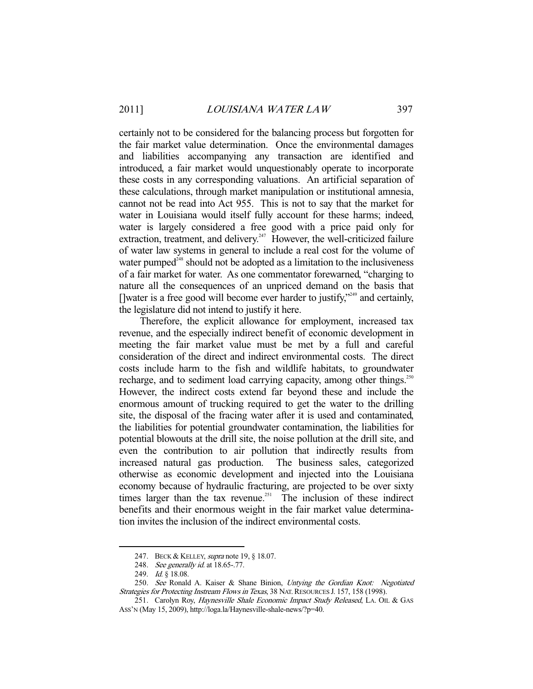certainly not to be considered for the balancing process but forgotten for the fair market value determination. Once the environmental damages and liabilities accompanying any transaction are identified and introduced, a fair market would unquestionably operate to incorporate these costs in any corresponding valuations. An artificial separation of these calculations, through market manipulation or institutional amnesia, cannot not be read into Act 955. This is not to say that the market for water in Louisiana would itself fully account for these harms; indeed, water is largely considered a free good with a price paid only for extraction, treatment, and delivery.<sup>247</sup> However, the well-criticized failure of water law systems in general to include a real cost for the volume of water pumped $248$  should not be adopted as a limitation to the inclusiveness of a fair market for water. As one commentator forewarned, "charging to nature all the consequences of an unpriced demand on the basis that []water is a free good will become ever harder to justify,"<sup>249</sup> and certainly, the legislature did not intend to justify it here.

 Therefore, the explicit allowance for employment, increased tax revenue, and the especially indirect benefit of economic development in meeting the fair market value must be met by a full and careful consideration of the direct and indirect environmental costs. The direct costs include harm to the fish and wildlife habitats, to groundwater recharge, and to sediment load carrying capacity, among other things.<sup>250</sup> However, the indirect costs extend far beyond these and include the enormous amount of trucking required to get the water to the drilling site, the disposal of the fracing water after it is used and contaminated, the liabilities for potential groundwater contamination, the liabilities for potential blowouts at the drill site, the noise pollution at the drill site, and even the contribution to air pollution that indirectly results from increased natural gas production. The business sales, categorized otherwise as economic development and injected into the Louisiana economy because of hydraulic fracturing, are projected to be over sixty times larger than the tax revenue.<sup>251</sup> The inclusion of these indirect benefits and their enormous weight in the fair market value determination invites the inclusion of the indirect environmental costs.

<sup>247.</sup> BECK & KELLEY, *supra* note 19, § 18.07.

<sup>248.</sup> *See generally id.* at 18.65-.77.

<sup>249.</sup> Id. § 18.08.

<sup>250.</sup> See Ronald A. Kaiser & Shane Binion, Untying the Gordian Knot: Negotiated Strategies for Protecting Instream Flows in Texas, 38 NAT. RESOURCES J. 157, 158 (1998).

<sup>251.</sup> Carolyn Roy, Haynesville Shale Economic Impact Study Released, LA. OIL & GAS ASS'N (May 15, 2009), http://loga.la/Haynesville-shale-news/?p=40.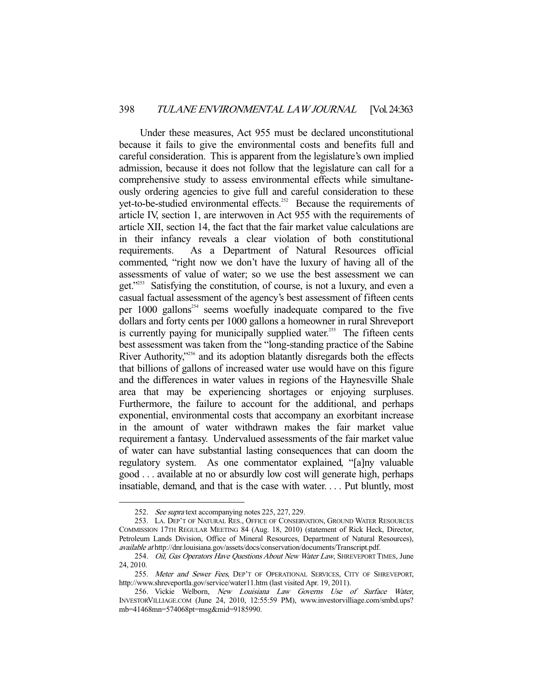Under these measures, Act 955 must be declared unconstitutional because it fails to give the environmental costs and benefits full and careful consideration. This is apparent from the legislature's own implied admission, because it does not follow that the legislature can call for a comprehensive study to assess environmental effects while simultaneously ordering agencies to give full and careful consideration to these yet-to-be-studied environmental effects.<sup>252</sup> Because the requirements of article IV, section 1, are interwoven in Act 955 with the requirements of article XII, section 14, the fact that the fair market value calculations are in their infancy reveals a clear violation of both constitutional requirements. As a Department of Natural Resources official commented, "right now we don't have the luxury of having all of the assessments of value of water; so we use the best assessment we can get."253 Satisfying the constitution, of course, is not a luxury, and even a casual factual assessment of the agency's best assessment of fifteen cents per  $1000$  gallons<sup>254</sup> seems woefully inadequate compared to the five dollars and forty cents per 1000 gallons a homeowner in rural Shreveport is currently paying for municipally supplied water.<sup>255</sup> The fifteen cents best assessment was taken from the "long-standing practice of the Sabine River Authority,<sup>3256</sup> and its adoption blatantly disregards both the effects that billions of gallons of increased water use would have on this figure and the differences in water values in regions of the Haynesville Shale area that may be experiencing shortages or enjoying surpluses. Furthermore, the failure to account for the additional, and perhaps exponential, environmental costs that accompany an exorbitant increase in the amount of water withdrawn makes the fair market value requirement a fantasy. Undervalued assessments of the fair market value of water can have substantial lasting consequences that can doom the regulatory system. As one commentator explained, "[a]ny valuable good . . . available at no or absurdly low cost will generate high, perhaps insatiable, demand, and that is the case with water. . . . Put bluntly, most

 <sup>252.</sup> See supra text accompanying notes 225, 227, 229.

 <sup>253.</sup> LA. DEP'T OF NATURAL RES., OFFICE OF CONSERVATION, GROUND WATER RESOURCES COMMISSION 17TH REGULAR MEETING 84 (Aug. 18, 2010) (statement of Rick Heck, Director, Petroleum Lands Division, Office of Mineral Resources, Department of Natural Resources), available at http://dnr.louisiana.gov/assets/docs/conservation/documents/Transcript.pdf.

<sup>254.</sup> Oil, Gas Operators Have Questions About New Water Law, SHREVEPORT TIMES, June 24, 2010.

<sup>255.</sup> Meter and Sewer Fees, DEP'T OF OPERATIONAL SERVICES, CITY OF SHREVEPORT, http://www.shreveportla.gov/service/water11.htm (last visited Apr. 19, 2011).

<sup>256.</sup> Vickie Welborn, New Louisiana Law Governs Use of Surface Water, INVESTORVILLIAGE.COM (June 24, 2010, 12:55:59 PM), www.investorvilliage.com/smbd.ups? mb=41468mn=574068pt=msg&mid=9185990.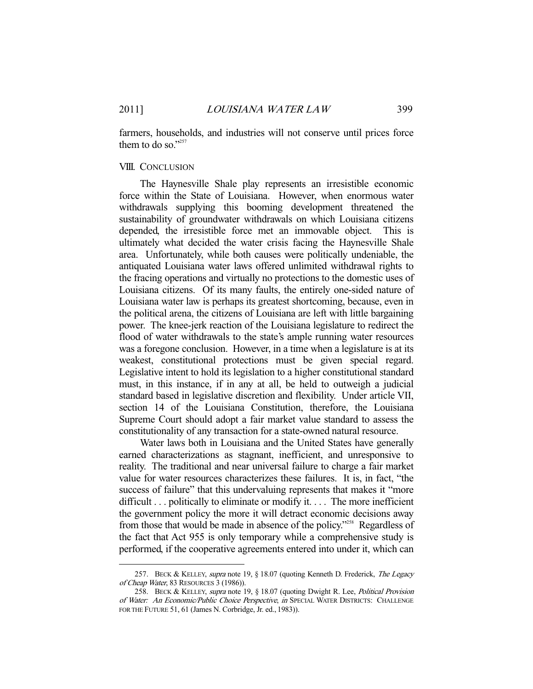-

farmers, households, and industries will not conserve until prices force them to do so."257

#### VIII. CONCLUSION

 The Haynesville Shale play represents an irresistible economic force within the State of Louisiana. However, when enormous water withdrawals supplying this booming development threatened the sustainability of groundwater withdrawals on which Louisiana citizens depended, the irresistible force met an immovable object. This is ultimately what decided the water crisis facing the Haynesville Shale area. Unfortunately, while both causes were politically undeniable, the antiquated Louisiana water laws offered unlimited withdrawal rights to the fracing operations and virtually no protections to the domestic uses of Louisiana citizens. Of its many faults, the entirely one-sided nature of Louisiana water law is perhaps its greatest shortcoming, because, even in the political arena, the citizens of Louisiana are left with little bargaining power. The knee-jerk reaction of the Louisiana legislature to redirect the flood of water withdrawals to the state's ample running water resources was a foregone conclusion. However, in a time when a legislature is at its weakest, constitutional protections must be given special regard. Legislative intent to hold its legislation to a higher constitutional standard must, in this instance, if in any at all, be held to outweigh a judicial standard based in legislative discretion and flexibility. Under article VII, section 14 of the Louisiana Constitution, therefore, the Louisiana Supreme Court should adopt a fair market value standard to assess the constitutionality of any transaction for a state-owned natural resource.

 Water laws both in Louisiana and the United States have generally earned characterizations as stagnant, inefficient, and unresponsive to reality. The traditional and near universal failure to charge a fair market value for water resources characterizes these failures. It is, in fact, "the success of failure" that this undervaluing represents that makes it "more difficult . . . politically to eliminate or modify it. . . . The more inefficient the government policy the more it will detract economic decisions away from those that would be made in absence of the policy."258 Regardless of the fact that Act 955 is only temporary while a comprehensive study is performed, if the cooperative agreements entered into under it, which can

<sup>257.</sup> BECK & KELLEY, supra note 19, § 18.07 (quoting Kenneth D. Frederick, The Legacy of Cheap Water, 83 RESOURCES 3 (1986)).

<sup>258.</sup> BECK & KELLEY, supra note 19, § 18.07 (quoting Dwight R. Lee, Political Provision of Water: An Economic/Public Choice Perspective, in SPECIAL WATER DISTRICTS: CHALLENGE FOR THE FUTURE 51, 61 (James N. Corbridge, Jr. ed., 1983)).